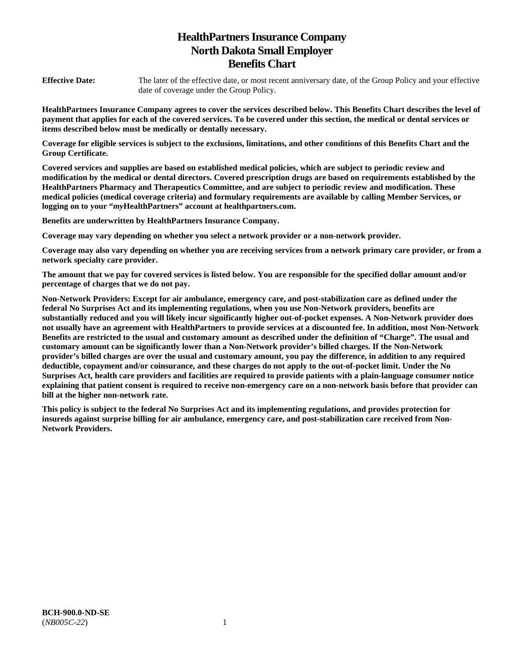# **HealthPartners Insurance Company North Dakota Small Employer Benefits Chart**

**Effective Date:** The later of the effective date, or most recent anniversary date, of the Group Policy and your effective date of coverage under the Group Policy.

**HealthPartners Insurance Company agrees to cover the services described below. This Benefits Chart describes the level of payment that applies for each of the covered services. To be covered under this section, the medical or dental services or items described below must be medically or dentally necessary.** 

**Coverage for eligible services is subject to the exclusions, limitations, and other conditions of this Benefits Chart and the Group Certificate.** 

**Covered services and supplies are based on established medical policies, which are subject to periodic review and modification by the medical or dental directors. Covered prescription drugs are based on requirements established by the HealthPartners Pharmacy and Therapeutics Committee, and are subject to periodic review and modification. These medical policies (medical coverage criteria) and formulary requirements are available by calling Member Services, or logging on to your "***my***HealthPartners" account at [healthpartners.com.](http://healthpartners.com/)** 

**Benefits are underwritten by HealthPartners Insurance Company.** 

**Coverage may vary depending on whether you select a network provider or a non-network provider.** 

**Coverage may also vary depending on whether you are receiving services from a network primary care provider, or from a network specialty care provider.**

**The amount that we pay for covered services is listed below. You are responsible for the specified dollar amount and/or percentage of charges that we do not pay.** 

**Non-Network Providers: Except for air ambulance, emergency care, and post-stabilization care as defined under the federal No Surprises Act and its implementing regulations, when you use Non-Network providers, benefits are substantially reduced and you will likely incur significantly higher out-of-pocket expenses. A Non-Network provider does not usually have an agreement with HealthPartners to provide services at a discounted fee. In addition, most Non-Network Benefits are restricted to the usual and customary amount as described under the definition of "Charge". The usual and customary amount can be significantly lower than a Non-Network provider's billed charges. If the Non-Network provider's billed charges are over the usual and customary amount, you pay the difference, in addition to any required deductible, copayment and/or coinsurance, and these charges do not apply to the out-of-pocket limit. Under the No Surprises Act, health care providers and facilities are required to provide patients with a plain-language consumer notice explaining that patient consent is required to receive non-emergency care on a non-network basis before that provider can bill at the higher non-network rate.** 

**This policy is subject to the federal No Surprises Act and its implementing regulations, and provides protection for insureds against surprise billing for air ambulance, emergency care, and post-stabilization care received from Non-Network Providers.**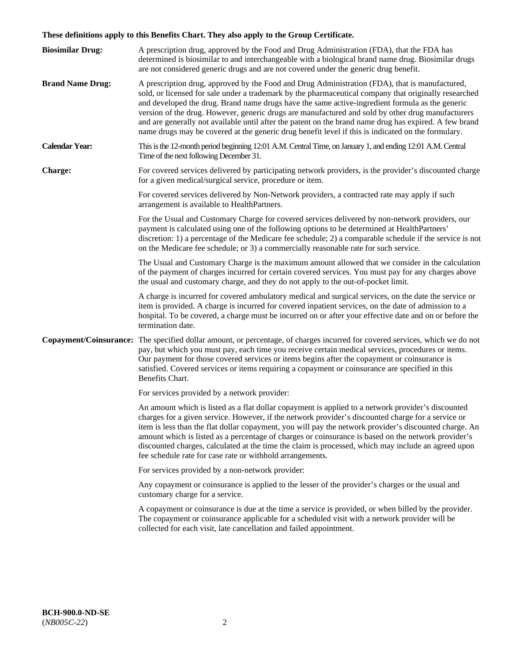# **These definitions apply to this Benefits Chart. They also apply to the Group Certificate.**

| <b>Biosimilar Drug:</b> | A prescription drug, approved by the Food and Drug Administration (FDA), that the FDA has<br>determined is biosimilar to and interchangeable with a biological brand name drug. Biosimilar drugs<br>are not considered generic drugs and are not covered under the generic drug benefit.                                                                                                                                                                                                                                                                                                                                        |
|-------------------------|---------------------------------------------------------------------------------------------------------------------------------------------------------------------------------------------------------------------------------------------------------------------------------------------------------------------------------------------------------------------------------------------------------------------------------------------------------------------------------------------------------------------------------------------------------------------------------------------------------------------------------|
| <b>Brand Name Drug:</b> | A prescription drug, approved by the Food and Drug Administration (FDA), that is manufactured,<br>sold, or licensed for sale under a trademark by the pharmaceutical company that originally researched<br>and developed the drug. Brand name drugs have the same active-ingredient formula as the generic<br>version of the drug. However, generic drugs are manufactured and sold by other drug manufacturers<br>and are generally not available until after the patent on the brand name drug has expired. A few brand<br>name drugs may be covered at the generic drug benefit level if this is indicated on the formulary. |
| <b>Calendar Year:</b>   | This is the 12-month period beginning 12:01 A.M. Central Time, on January 1, and ending 12:01 A.M. Central<br>Time of the next following December 31.                                                                                                                                                                                                                                                                                                                                                                                                                                                                           |
| <b>Charge:</b>          | For covered services delivered by participating network providers, is the provider's discounted charge<br>for a given medical/surgical service, procedure or item.                                                                                                                                                                                                                                                                                                                                                                                                                                                              |
|                         | For covered services delivered by Non-Network providers, a contracted rate may apply if such<br>arrangement is available to HealthPartners.                                                                                                                                                                                                                                                                                                                                                                                                                                                                                     |
|                         | For the Usual and Customary Charge for covered services delivered by non-network providers, our<br>payment is calculated using one of the following options to be determined at HealthPartners'<br>discretion: 1) a percentage of the Medicare fee schedule; 2) a comparable schedule if the service is not<br>on the Medicare fee schedule; or 3) a commercially reasonable rate for such service.                                                                                                                                                                                                                             |
|                         | The Usual and Customary Charge is the maximum amount allowed that we consider in the calculation<br>of the payment of charges incurred for certain covered services. You must pay for any charges above<br>the usual and customary charge, and they do not apply to the out-of-pocket limit.                                                                                                                                                                                                                                                                                                                                    |
|                         | A charge is incurred for covered ambulatory medical and surgical services, on the date the service or<br>item is provided. A charge is incurred for covered inpatient services, on the date of admission to a<br>hospital. To be covered, a charge must be incurred on or after your effective date and on or before the<br>termination date.                                                                                                                                                                                                                                                                                   |
|                         | Copayment/Coinsurance: The specified dollar amount, or percentage, of charges incurred for covered services, which we do not<br>pay, but which you must pay, each time you receive certain medical services, procedures or items.<br>Our payment for those covered services or items begins after the copayment or coinsurance is<br>satisfied. Covered services or items requiring a copayment or coinsurance are specified in this<br>Benefits Chart.                                                                                                                                                                         |
|                         | For services provided by a network provider:                                                                                                                                                                                                                                                                                                                                                                                                                                                                                                                                                                                    |
|                         | An amount which is listed as a flat dollar copayment is applied to a network provider's discounted<br>charges for a given service. However, if the network provider's discounted charge for a service or<br>item is less than the flat dollar copayment, you will pay the network provider's discounted charge. An<br>amount which is listed as a percentage of charges or coinsurance is based on the network provider's<br>discounted charges, calculated at the time the claim is processed, which may include an agreed upon<br>fee schedule rate for case rate or withhold arrangements.                                   |
|                         | For services provided by a non-network provider:                                                                                                                                                                                                                                                                                                                                                                                                                                                                                                                                                                                |
|                         | Any copayment or coinsurance is applied to the lesser of the provider's charges or the usual and<br>customary charge for a service.                                                                                                                                                                                                                                                                                                                                                                                                                                                                                             |
|                         | A copayment or coinsurance is due at the time a service is provided, or when billed by the provider.<br>The copayment or coinsurance applicable for a scheduled visit with a network provider will be<br>collected for each visit, late cancellation and failed appointment.                                                                                                                                                                                                                                                                                                                                                    |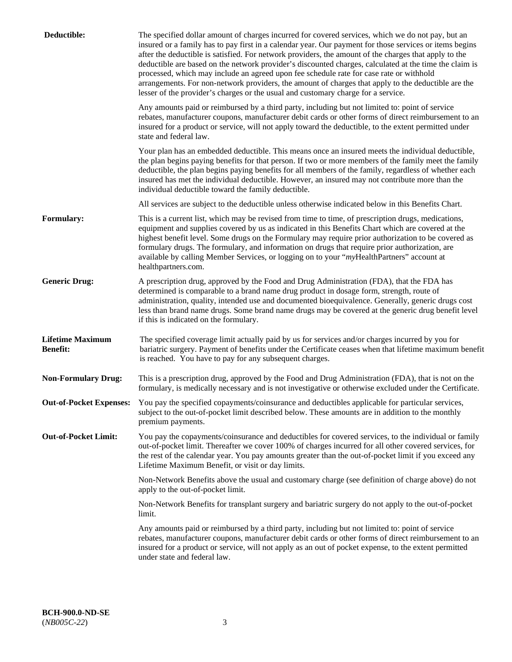| Deductible:                                | The specified dollar amount of charges incurred for covered services, which we do not pay, but an<br>insured or a family has to pay first in a calendar year. Our payment for those services or items begins<br>after the deductible is satisfied. For network providers, the amount of the charges that apply to the<br>deductible are based on the network provider's discounted charges, calculated at the time the claim is<br>processed, which may include an agreed upon fee schedule rate for case rate or withhold<br>arrangements. For non-network providers, the amount of charges that apply to the deductible are the<br>lesser of the provider's charges or the usual and customary charge for a service. |
|--------------------------------------------|------------------------------------------------------------------------------------------------------------------------------------------------------------------------------------------------------------------------------------------------------------------------------------------------------------------------------------------------------------------------------------------------------------------------------------------------------------------------------------------------------------------------------------------------------------------------------------------------------------------------------------------------------------------------------------------------------------------------|
|                                            | Any amounts paid or reimbursed by a third party, including but not limited to: point of service<br>rebates, manufacturer coupons, manufacturer debit cards or other forms of direct reimbursement to an<br>insured for a product or service, will not apply toward the deductible, to the extent permitted under<br>state and federal law.                                                                                                                                                                                                                                                                                                                                                                             |
|                                            | Your plan has an embedded deductible. This means once an insured meets the individual deductible,<br>the plan begins paying benefits for that person. If two or more members of the family meet the family<br>deductible, the plan begins paying benefits for all members of the family, regardless of whether each<br>insured has met the individual deductible. However, an insured may not contribute more than the<br>individual deductible toward the family deductible.                                                                                                                                                                                                                                          |
|                                            | All services are subject to the deductible unless otherwise indicated below in this Benefits Chart.                                                                                                                                                                                                                                                                                                                                                                                                                                                                                                                                                                                                                    |
| <b>Formulary:</b>                          | This is a current list, which may be revised from time to time, of prescription drugs, medications,<br>equipment and supplies covered by us as indicated in this Benefits Chart which are covered at the<br>highest benefit level. Some drugs on the Formulary may require prior authorization to be covered as<br>formulary drugs. The formulary, and information on drugs that require prior authorization, are<br>available by calling Member Services, or logging on to your "myHealthPartners" account at<br>healthpartners.com.                                                                                                                                                                                  |
| <b>Generic Drug:</b>                       | A prescription drug, approved by the Food and Drug Administration (FDA), that the FDA has<br>determined is comparable to a brand name drug product in dosage form, strength, route of<br>administration, quality, intended use and documented bioequivalence. Generally, generic drugs cost<br>less than brand name drugs. Some brand name drugs may be covered at the generic drug benefit level<br>if this is indicated on the formulary.                                                                                                                                                                                                                                                                            |
| <b>Lifetime Maximum</b><br><b>Benefit:</b> | The specified coverage limit actually paid by us for services and/or charges incurred by you for<br>bariatric surgery. Payment of benefits under the Certificate ceases when that lifetime maximum benefit<br>is reached. You have to pay for any subsequent charges.                                                                                                                                                                                                                                                                                                                                                                                                                                                  |
| <b>Non-Formulary Drug:</b>                 | This is a prescription drug, approved by the Food and Drug Administration (FDA), that is not on the<br>formulary, is medically necessary and is not investigative or otherwise excluded under the Certificate.                                                                                                                                                                                                                                                                                                                                                                                                                                                                                                         |
|                                            | Out-of-Pocket Expenses: You pay the specified copayments/coinsurance and deductibles applicable for particular services,<br>subject to the out-of-pocket limit described below. These amounts are in addition to the monthly<br>premium payments.                                                                                                                                                                                                                                                                                                                                                                                                                                                                      |
| <b>Out-of-Pocket Limit:</b>                | You pay the copayments/coinsurance and deductibles for covered services, to the individual or family<br>out-of-pocket limit. Thereafter we cover 100% of charges incurred for all other covered services, for<br>the rest of the calendar year. You pay amounts greater than the out-of-pocket limit if you exceed any<br>Lifetime Maximum Benefit, or visit or day limits.                                                                                                                                                                                                                                                                                                                                            |
|                                            | Non-Network Benefits above the usual and customary charge (see definition of charge above) do not<br>apply to the out-of-pocket limit.                                                                                                                                                                                                                                                                                                                                                                                                                                                                                                                                                                                 |
|                                            | Non-Network Benefits for transplant surgery and bariatric surgery do not apply to the out-of-pocket<br>limit.                                                                                                                                                                                                                                                                                                                                                                                                                                                                                                                                                                                                          |
|                                            | Any amounts paid or reimbursed by a third party, including but not limited to: point of service<br>rebates, manufacturer coupons, manufacturer debit cards or other forms of direct reimbursement to an<br>insured for a product or service, will not apply as an out of pocket expense, to the extent permitted<br>under state and federal law.                                                                                                                                                                                                                                                                                                                                                                       |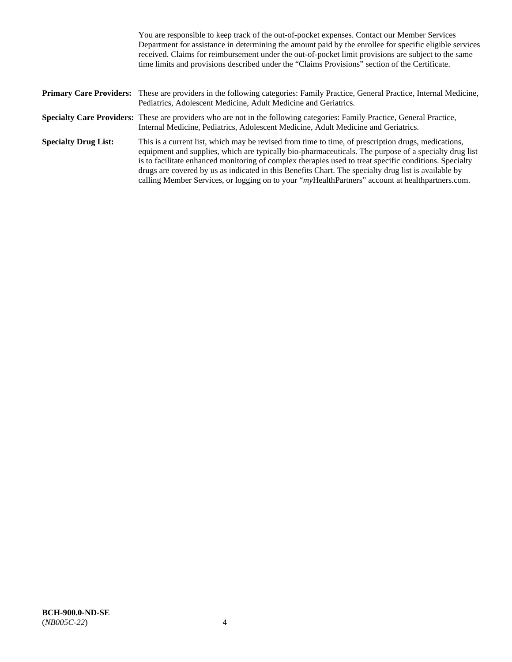|                             | You are responsible to keep track of the out-of-pocket expenses. Contact our Member Services<br>Department for assistance in determining the amount paid by the enrollee for specific eligible services<br>received. Claims for reimbursement under the out-of-pocket limit provisions are subject to the same<br>time limits and provisions described under the "Claims Provisions" section of the Certificate.                                                                                                                   |
|-----------------------------|------------------------------------------------------------------------------------------------------------------------------------------------------------------------------------------------------------------------------------------------------------------------------------------------------------------------------------------------------------------------------------------------------------------------------------------------------------------------------------------------------------------------------------|
|                             | <b>Primary Care Providers:</b> These are providers in the following categories: Family Practice, General Practice, Internal Medicine,<br>Pediatrics, Adolescent Medicine, Adult Medicine and Geriatrics.                                                                                                                                                                                                                                                                                                                           |
|                             | Specialty Care Providers: These are providers who are not in the following categories: Family Practice, General Practice,<br>Internal Medicine, Pediatrics, Adolescent Medicine, Adult Medicine and Geriatrics.                                                                                                                                                                                                                                                                                                                    |
| <b>Specialty Drug List:</b> | This is a current list, which may be revised from time to time, of prescription drugs, medications,<br>equipment and supplies, which are typically bio-pharmaceuticals. The purpose of a specialty drug list<br>is to facilitate enhanced monitoring of complex therapies used to treat specific conditions. Specialty<br>drugs are covered by us as indicated in this Benefits Chart. The specialty drug list is available by<br>calling Member Services, or logging on to your "myHealthPartners" account at healthpartners.com. |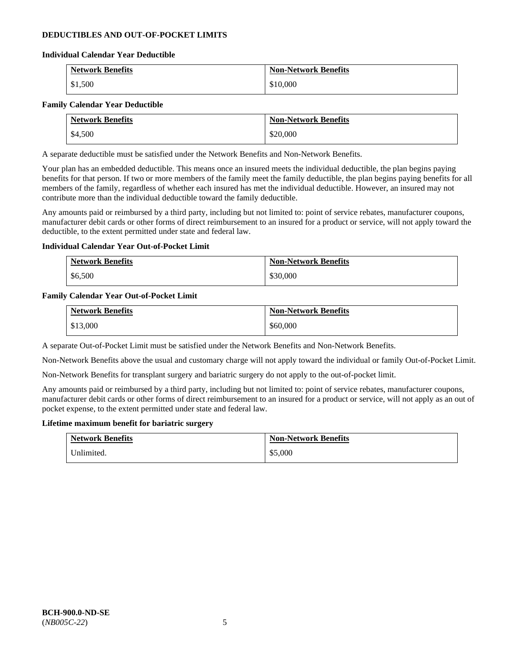### **DEDUCTIBLES AND OUT-OF-POCKET LIMITS**

#### **Individual Calendar Year Deductible**

| <b>Network Benefits</b> | <b>Non-Network Benefits</b> |
|-------------------------|-----------------------------|
| \$1,500                 | \$10,000                    |

#### **Family Calendar Year Deductible**

| <b>Network Benefits</b> | <b>Non-Network Benefits</b> |
|-------------------------|-----------------------------|
| \$4,500                 | \$20,000                    |

A separate deductible must be satisfied under the Network Benefits and Non-Network Benefits.

Your plan has an embedded deductible. This means once an insured meets the individual deductible, the plan begins paying benefits for that person. If two or more members of the family meet the family deductible, the plan begins paying benefits for all members of the family, regardless of whether each insured has met the individual deductible. However, an insured may not contribute more than the individual deductible toward the family deductible.

Any amounts paid or reimbursed by a third party, including but not limited to: point of service rebates, manufacturer coupons, manufacturer debit cards or other forms of direct reimbursement to an insured for a product or service, will not apply toward the deductible, to the extent permitted under state and federal law.

### **Individual Calendar Year Out-of-Pocket Limit**

| <b>Network Benefits</b> | <b>Non-Network Benefits</b> |
|-------------------------|-----------------------------|
| \$6,500                 | \$30,000                    |

#### **Family Calendar Year Out-of-Pocket Limit**

| <b>Network Benefits</b> | <b>Non-Network Benefits</b> |
|-------------------------|-----------------------------|
| \$13,000                | \$60,000                    |

A separate Out-of-Pocket Limit must be satisfied under the Network Benefits and Non-Network Benefits.

Non-Network Benefits above the usual and customary charge will not apply toward the individual or family Out-of-Pocket Limit.

Non-Network Benefits for transplant surgery and bariatric surgery do not apply to the out-of-pocket limit.

Any amounts paid or reimbursed by a third party, including but not limited to: point of service rebates, manufacturer coupons, manufacturer debit cards or other forms of direct reimbursement to an insured for a product or service, will not apply as an out of pocket expense, to the extent permitted under state and federal law.

#### **Lifetime maximum benefit for bariatric surgery**

| <b>Network Benefits</b> | <b>Non-Network Benefits</b> |
|-------------------------|-----------------------------|
| Unlimited.              | \$5,000                     |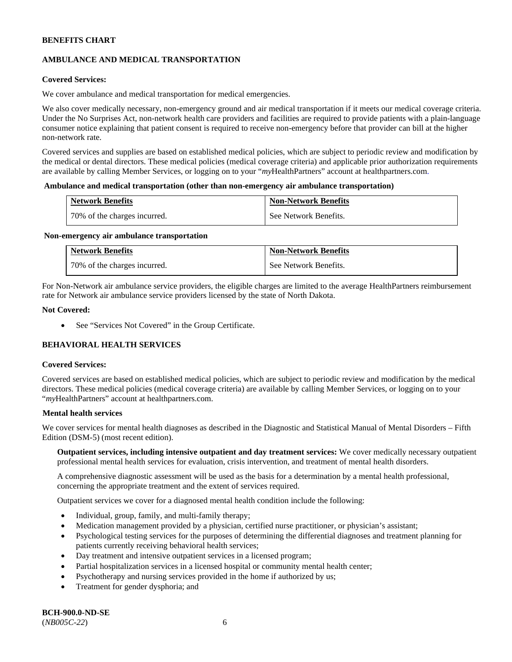# **AMBULANCE AND MEDICAL TRANSPORTATION**

### **Covered Services:**

We cover ambulance and medical transportation for medical emergencies.

We also cover medically necessary, non-emergency ground and air medical transportation if it meets our medical coverage criteria. Under the No Surprises Act, non-network health care providers and facilities are required to provide patients with a plain-language consumer notice explaining that patient consent is required to receive non-emergency before that provider can bill at the higher non-network rate.

Covered services and supplies are based on established medical policies, which are subject to periodic review and modification by the medical or dental directors. These medical policies (medical coverage criteria) and applicable prior authorization requirements are available by calling Member Services, or logging on to your "*my*HealthPartners" account a[t healthpartners.com.](http://www.healthpartners.com/)

#### **Ambulance and medical transportation (other than non-emergency air ambulance transportation)**

| <b>Network Benefits</b>      | <b>Non-Network Benefits</b> |
|------------------------------|-----------------------------|
| 70% of the charges incurred. | See Network Benefits.       |

#### **Non-emergency air ambulance transportation**

| <b>Network Benefits</b>      | <b>Non-Network Benefits</b> |
|------------------------------|-----------------------------|
| 70% of the charges incurred. | See Network Benefits.       |

For Non-Network air ambulance service providers, the eligible charges are limited to the average HealthPartners reimbursement rate for Network air ambulance service providers licensed by the state of North Dakota.

#### **Not Covered:**

• See "Services Not Covered" in the Group Certificate.

# **BEHAVIORAL HEALTH SERVICES**

#### **Covered Services:**

Covered services are based on established medical policies, which are subject to periodic review and modification by the medical directors. These medical policies (medical coverage criteria) are available by calling Member Services, or logging on to your "*my*HealthPartners" account at [healthpartners.com.](http://healthpartners.com/)

### **Mental health services**

We cover services for mental health diagnoses as described in the Diagnostic and Statistical Manual of Mental Disorders - Fifth Edition (DSM-5) (most recent edition).

**Outpatient services, including intensive outpatient and day treatment services:** We cover medically necessary outpatient professional mental health services for evaluation, crisis intervention, and treatment of mental health disorders.

A comprehensive diagnostic assessment will be used as the basis for a determination by a mental health professional, concerning the appropriate treatment and the extent of services required.

Outpatient services we cover for a diagnosed mental health condition include the following:

- Individual, group, family, and multi-family therapy;
- Medication management provided by a physician, certified nurse practitioner, or physician's assistant;
- Psychological testing services for the purposes of determining the differential diagnoses and treatment planning for patients currently receiving behavioral health services;
- Day treatment and intensive outpatient services in a licensed program;
- Partial hospitalization services in a licensed hospital or community mental health center;
- Psychotherapy and nursing services provided in the home if authorized by us;
- Treatment for gender dysphoria; and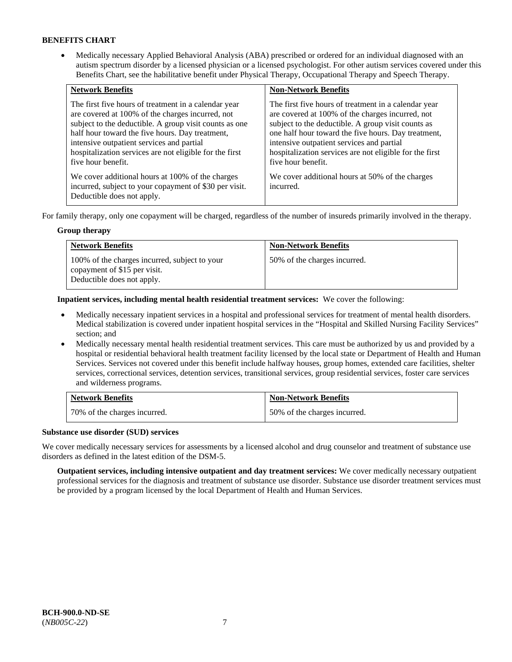• Medically necessary Applied Behavioral Analysis (ABA) prescribed or ordered for an individual diagnosed with an autism spectrum disorder by a licensed physician or a licensed psychologist. For other autism services covered under this Benefits Chart, see the habilitative benefit under Physical Therapy, Occupational Therapy and Speech Therapy.

| <b>Network Benefits</b>                                                                                                                                                                                                                                                                                                                             | <b>Non-Network Benefits</b>                                                                                                                                                                                                                                                                                                                         |
|-----------------------------------------------------------------------------------------------------------------------------------------------------------------------------------------------------------------------------------------------------------------------------------------------------------------------------------------------------|-----------------------------------------------------------------------------------------------------------------------------------------------------------------------------------------------------------------------------------------------------------------------------------------------------------------------------------------------------|
| The first five hours of treatment in a calendar year<br>are covered at 100% of the charges incurred, not<br>subject to the deductible. A group visit counts as one<br>half hour toward the five hours. Day treatment,<br>intensive outpatient services and partial<br>hospitalization services are not eligible for the first<br>five hour benefit. | The first five hours of treatment in a calendar year<br>are covered at 100% of the charges incurred, not<br>subject to the deductible. A group visit counts as<br>one half hour toward the five hours. Day treatment,<br>intensive outpatient services and partial<br>hospitalization services are not eligible for the first<br>five hour benefit. |
| We cover additional hours at 100% of the charges<br>incurred, subject to your copayment of \$30 per visit.<br>Deductible does not apply.                                                                                                                                                                                                            | We cover additional hours at 50% of the charges<br>incurred.                                                                                                                                                                                                                                                                                        |

For family therapy, only one copayment will be charged, regardless of the number of insureds primarily involved in the therapy.

### **Group therapy**

| <b>Network Benefits</b>                                                                                     | <b>Non-Network Benefits</b>  |
|-------------------------------------------------------------------------------------------------------------|------------------------------|
| 100% of the charges incurred, subject to your<br>copayment of \$15 per visit.<br>Deductible does not apply. | 50% of the charges incurred. |

**Inpatient services, including mental health residential treatment services:** We cover the following:

- Medically necessary inpatient services in a hospital and professional services for treatment of mental health disorders. Medical stabilization is covered under inpatient hospital services in the "Hospital and Skilled Nursing Facility Services" section; and
- Medically necessary mental health residential treatment services. This care must be authorized by us and provided by a hospital or residential behavioral health treatment facility licensed by the local state or Department of Health and Human Services. Services not covered under this benefit include halfway houses, group homes, extended care facilities, shelter services, correctional services, detention services, transitional services, group residential services, foster care services and wilderness programs.

| <b>Network Benefits</b>      | <b>Non-Network Benefits</b>  |
|------------------------------|------------------------------|
| 70% of the charges incurred. | 50% of the charges incurred. |

### **Substance use disorder (SUD) services**

We cover medically necessary services for assessments by a licensed alcohol and drug counselor and treatment of substance use disorders as defined in the latest edition of the DSM-5.

**Outpatient services, including intensive outpatient and day treatment services:** We cover medically necessary outpatient professional services for the diagnosis and treatment of substance use disorder. Substance use disorder treatment services must be provided by a program licensed by the local Department of Health and Human Services.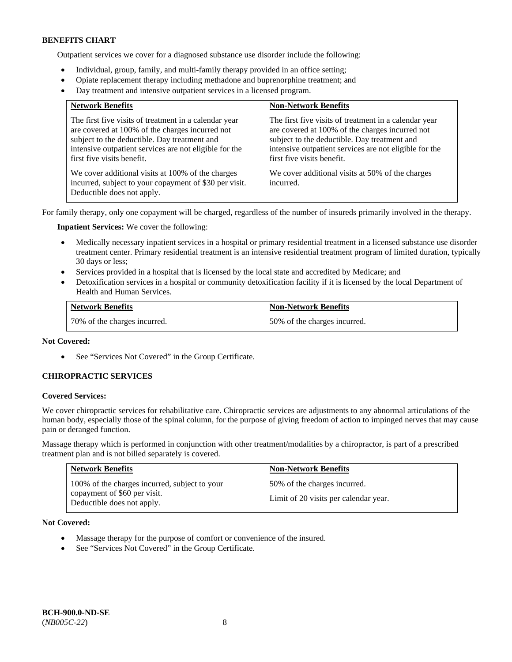Outpatient services we cover for a diagnosed substance use disorder include the following:

- Individual, group, family, and multi-family therapy provided in an office setting;
- Opiate replacement therapy including methadone and buprenorphine treatment; and
- Day treatment and intensive outpatient services in a licensed program.

| <b>Network Benefits</b>                                                                                                                                                                                                                          | <b>Non-Network Benefits</b>                                                                                                                                                                                                                      |
|--------------------------------------------------------------------------------------------------------------------------------------------------------------------------------------------------------------------------------------------------|--------------------------------------------------------------------------------------------------------------------------------------------------------------------------------------------------------------------------------------------------|
| The first five visits of treatment in a calendar year<br>are covered at 100% of the charges incurred not<br>subject to the deductible. Day treatment and<br>intensive outpatient services are not eligible for the<br>first five visits benefit. | The first five visits of treatment in a calendar year<br>are covered at 100% of the charges incurred not<br>subject to the deductible. Day treatment and<br>intensive outpatient services are not eligible for the<br>first five visits benefit. |
| We cover additional visits at 100% of the charges<br>incurred, subject to your copayment of \$30 per visit.<br>Deductible does not apply.                                                                                                        | We cover additional visits at 50% of the charges<br>incurred.                                                                                                                                                                                    |

For family therapy, only one copayment will be charged, regardless of the number of insureds primarily involved in the therapy.

**Inpatient Services:** We cover the following:

- Medically necessary inpatient services in a hospital or primary residential treatment in a licensed substance use disorder treatment center. Primary residential treatment is an intensive residential treatment program of limited duration, typically 30 days or less;
- Services provided in a hospital that is licensed by the local state and accredited by Medicare; and
- Detoxification services in a hospital or community detoxification facility if it is licensed by the local Department of Health and Human Services.

| <b>Network Benefits</b>      | <b>Non-Network Benefits</b>  |
|------------------------------|------------------------------|
| 70% of the charges incurred. | 50% of the charges incurred. |

### **Not Covered:**

• See "Services Not Covered" in the Group Certificate.

### **CHIROPRACTIC SERVICES**

#### **Covered Services:**

We cover chiropractic services for rehabilitative care. Chiropractic services are adjustments to any abnormal articulations of the human body, especially those of the spinal column, for the purpose of giving freedom of action to impinged nerves that may cause pain or deranged function.

Massage therapy which is performed in conjunction with other treatment/modalities by a chiropractor, is part of a prescribed treatment plan and is not billed separately is covered.

| <b>Network Benefits</b>                                                                                     | <b>Non-Network Benefits</b>                                           |
|-------------------------------------------------------------------------------------------------------------|-----------------------------------------------------------------------|
| 100% of the charges incurred, subject to your<br>copayment of \$60 per visit.<br>Deductible does not apply. | 50% of the charges incurred.<br>Limit of 20 visits per calendar year. |

**Not Covered:** 

- Massage therapy for the purpose of comfort or convenience of the insured.
- See "Services Not Covered" in the Group Certificate.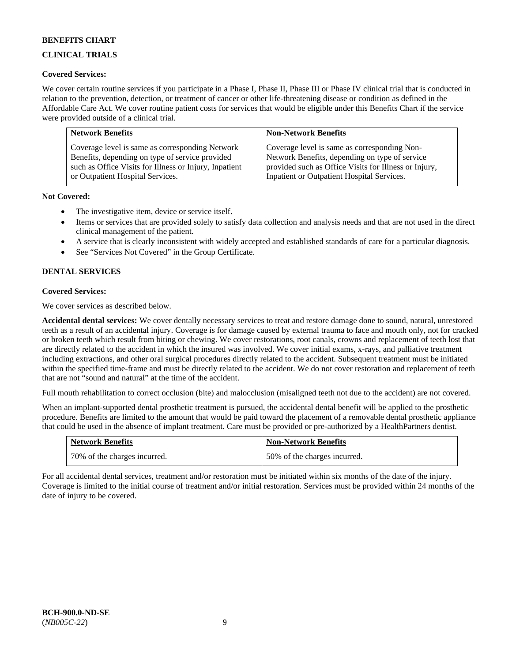# **CLINICAL TRIALS**

### **Covered Services:**

We cover certain routine services if you participate in a Phase I, Phase II, Phase III or Phase IV clinical trial that is conducted in relation to the prevention, detection, or treatment of cancer or other life-threatening disease or condition as defined in the Affordable Care Act. We cover routine patient costs for services that would be eligible under this Benefits Chart if the service were provided outside of a clinical trial.

| <b>Network Benefits</b>                                | <b>Non-Network Benefits</b>                           |
|--------------------------------------------------------|-------------------------------------------------------|
| Coverage level is same as corresponding Network        | Coverage level is same as corresponding Non-          |
| Benefits, depending on type of service provided        | Network Benefits, depending on type of service        |
| such as Office Visits for Illness or Injury, Inpatient | provided such as Office Visits for Illness or Injury, |
| or Outpatient Hospital Services.                       | Inpatient or Outpatient Hospital Services.            |

### **Not Covered:**

- The investigative item, device or service itself.
- Items or services that are provided solely to satisfy data collection and analysis needs and that are not used in the direct clinical management of the patient.
- A service that is clearly inconsistent with widely accepted and established standards of care for a particular diagnosis.
- See "Services Not Covered" in the Group Certificate.

# **DENTAL SERVICES**

### **Covered Services:**

We cover services as described below.

**Accidental dental services:** We cover dentally necessary services to treat and restore damage done to sound, natural, unrestored teeth as a result of an accidental injury. Coverage is for damage caused by external trauma to face and mouth only, not for cracked or broken teeth which result from biting or chewing. We cover restorations, root canals, crowns and replacement of teeth lost that are directly related to the accident in which the insured was involved. We cover initial exams, x-rays, and palliative treatment including extractions, and other oral surgical procedures directly related to the accident. Subsequent treatment must be initiated within the specified time-frame and must be directly related to the accident. We do not cover restoration and replacement of teeth that are not "sound and natural" at the time of the accident.

Full mouth rehabilitation to correct occlusion (bite) and malocclusion (misaligned teeth not due to the accident) are not covered.

When an implant-supported dental prosthetic treatment is pursued, the accidental dental benefit will be applied to the prosthetic procedure. Benefits are limited to the amount that would be paid toward the placement of a removable dental prosthetic appliance that could be used in the absence of implant treatment. Care must be provided or pre-authorized by a HealthPartners dentist.

| <b>Network Benefits</b>      | <b>Non-Network Benefits</b>  |
|------------------------------|------------------------------|
| 70% of the charges incurred. | 50% of the charges incurred. |

For all accidental dental services, treatment and/or restoration must be initiated within six months of the date of the injury. Coverage is limited to the initial course of treatment and/or initial restoration. Services must be provided within 24 months of the date of injury to be covered.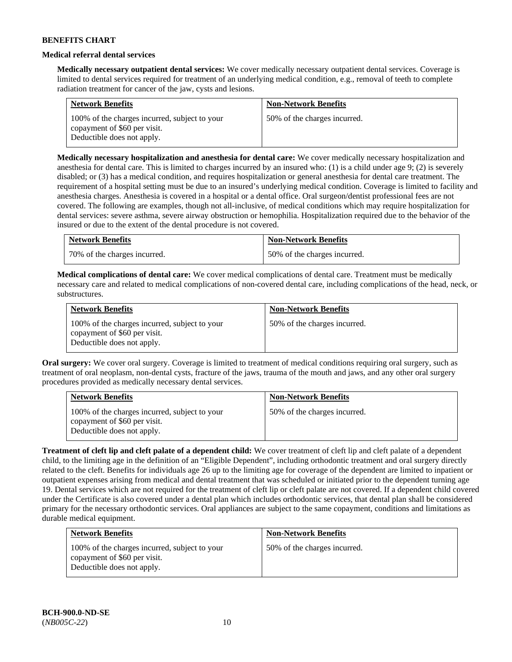### **Medical referral dental services**

**Medically necessary outpatient dental services:** We cover medically necessary outpatient dental services. Coverage is limited to dental services required for treatment of an underlying medical condition, e.g., removal of teeth to complete radiation treatment for cancer of the jaw, cysts and lesions.

| <b>Network Benefits</b>                                                                                     | <b>Non-Network Benefits</b>  |
|-------------------------------------------------------------------------------------------------------------|------------------------------|
| 100% of the charges incurred, subject to your<br>copayment of \$60 per visit.<br>Deductible does not apply. | 50% of the charges incurred. |

**Medically necessary hospitalization and anesthesia for dental care:** We cover medically necessary hospitalization and anesthesia for dental care. This is limited to charges incurred by an insured who: (1) is a child under age 9; (2) is severely disabled; or (3) has a medical condition, and requires hospitalization or general anesthesia for dental care treatment. The requirement of a hospital setting must be due to an insured's underlying medical condition. Coverage is limited to facility and anesthesia charges. Anesthesia is covered in a hospital or a dental office. Oral surgeon/dentist professional fees are not covered. The following are examples, though not all-inclusive, of medical conditions which may require hospitalization for dental services: severe asthma, severe airway obstruction or hemophilia. Hospitalization required due to the behavior of the insured or due to the extent of the dental procedure is not covered.

| <b>Network Benefits</b>      | <b>Non-Network Benefits</b>  |
|------------------------------|------------------------------|
| 70% of the charges incurred. | 50% of the charges incurred. |

**Medical complications of dental care:** We cover medical complications of dental care. Treatment must be medically necessary care and related to medical complications of non-covered dental care, including complications of the head, neck, or substructures.

| <b>Network Benefits</b>                                                                                     | <b>Non-Network Benefits</b>  |
|-------------------------------------------------------------------------------------------------------------|------------------------------|
| 100% of the charges incurred, subject to your<br>copayment of \$60 per visit.<br>Deductible does not apply. | 50% of the charges incurred. |

**Oral surgery:** We cover oral surgery. Coverage is limited to treatment of medical conditions requiring oral surgery, such as treatment of oral neoplasm, non-dental cysts, fracture of the jaws, trauma of the mouth and jaws, and any other oral surgery procedures provided as medically necessary dental services.

| <b>Network Benefits</b>                                                                                     | <b>Non-Network Benefits</b>  |
|-------------------------------------------------------------------------------------------------------------|------------------------------|
| 100% of the charges incurred, subject to your<br>copayment of \$60 per visit.<br>Deductible does not apply. | 50% of the charges incurred. |

**Treatment of cleft lip and cleft palate of a dependent child:** We cover treatment of cleft lip and cleft palate of a dependent child, to the limiting age in the definition of an "Eligible Dependent", including orthodontic treatment and oral surgery directly related to the cleft. Benefits for individuals age 26 up to the limiting age for coverage of the dependent are limited to inpatient or outpatient expenses arising from medical and dental treatment that was scheduled or initiated prior to the dependent turning age 19. Dental services which are not required for the treatment of cleft lip or cleft palate are not covered. If a dependent child covered under the Certificate is also covered under a dental plan which includes orthodontic services, that dental plan shall be considered primary for the necessary orthodontic services. Oral appliances are subject to the same copayment, conditions and limitations as durable medical equipment.

| <b>Network Benefits</b>                                                                                     | <b>Non-Network Benefits</b>  |
|-------------------------------------------------------------------------------------------------------------|------------------------------|
| 100% of the charges incurred, subject to your<br>copayment of \$60 per visit.<br>Deductible does not apply. | 50% of the charges incurred. |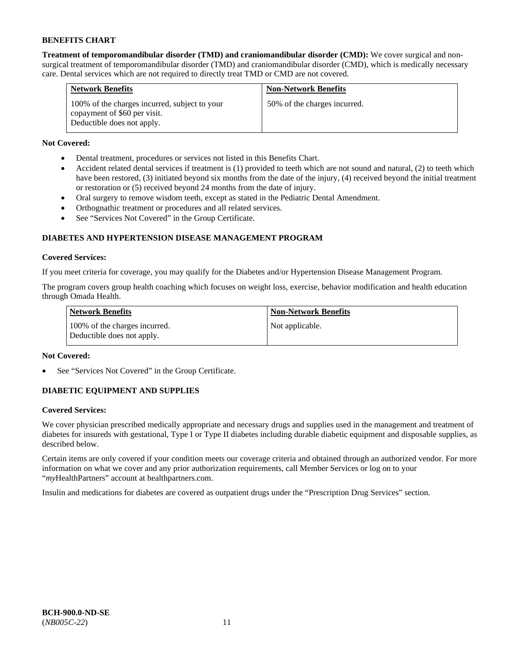**Treatment of temporomandibular disorder (TMD) and craniomandibular disorder (CMD):** We cover surgical and nonsurgical treatment of temporomandibular disorder (TMD) and craniomandibular disorder (CMD), which is medically necessary care. Dental services which are not required to directly treat TMD or CMD are not covered.

| <b>Network Benefits</b>                                                                                     | <b>Non-Network Benefits</b>  |
|-------------------------------------------------------------------------------------------------------------|------------------------------|
| 100% of the charges incurred, subject to your<br>copayment of \$60 per visit.<br>Deductible does not apply. | 50% of the charges incurred. |

# **Not Covered:**

- Dental treatment, procedures or services not listed in this Benefits Chart.
- Accident related dental services if treatment is (1) provided to teeth which are not sound and natural, (2) to teeth which have been restored, (3) initiated beyond six months from the date of the injury, (4) received beyond the initial treatment or restoration or (5) received beyond 24 months from the date of injury.
- Oral surgery to remove wisdom teeth, except as stated in the Pediatric Dental Amendment.
- Orthognathic treatment or procedures and all related services.
- See "Services Not Covered" in the Group Certificate.

# **DIABETES AND HYPERTENSION DISEASE MANAGEMENT PROGRAM**

### **Covered Services:**

If you meet criteria for coverage, you may qualify for the Diabetes and/or Hypertension Disease Management Program.

The program covers group health coaching which focuses on weight loss, exercise, behavior modification and health education through Omada Health.

| <b>Network Benefits</b>                                     | <b>Non-Network Benefits</b> |
|-------------------------------------------------------------|-----------------------------|
| 100% of the charges incurred.<br>Deductible does not apply. | Not applicable.             |

### **Not Covered:**

See "Services Not Covered" in the Group Certificate.

# **DIABETIC EQUIPMENT AND SUPPLIES**

### **Covered Services:**

We cover physician prescribed medically appropriate and necessary drugs and supplies used in the management and treatment of diabetes for insureds with gestational, Type I or Type II diabetes including durable diabetic equipment and disposable supplies, as described below.

Certain items are only covered if your condition meets our coverage criteria and obtained through an authorized vendor. For more information on what we cover and any prior authorization requirements, call Member Services or log on to your "*my*HealthPartners" account at [healthpartners.com.](http://www.healthpartners.com/)

Insulin and medications for diabetes are covered as outpatient drugs under the "Prescription Drug Services" section.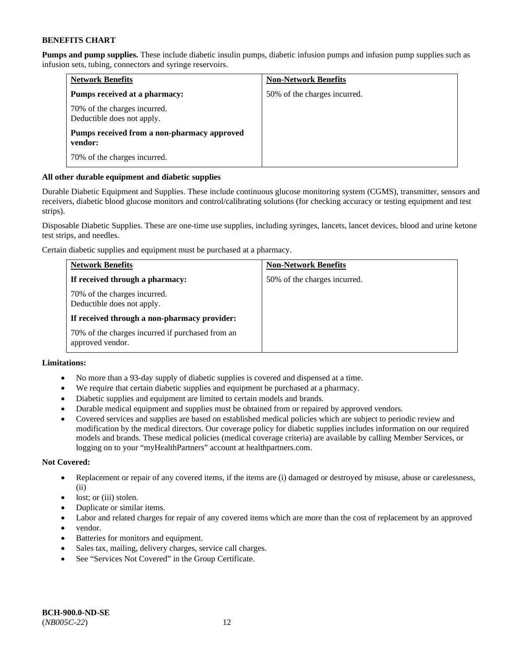**Pumps and pump supplies.** These include diabetic insulin pumps, diabetic infusion pumps and infusion pump supplies such as infusion sets, tubing, connectors and syringe reservoirs.

| <b>Network Benefits</b>                                    | <b>Non-Network Benefits</b>  |
|------------------------------------------------------------|------------------------------|
| Pumps received at a pharmacy:                              | 50% of the charges incurred. |
| 70% of the charges incurred.<br>Deductible does not apply. |                              |
| Pumps received from a non-pharmacy approved<br>vendor:     |                              |
| 70% of the charges incurred.                               |                              |

### **All other durable equipment and diabetic supplies**

Durable Diabetic Equipment and Supplies. These include continuous glucose monitoring system (CGMS), transmitter, sensors and receivers, diabetic blood glucose monitors and control/calibrating solutions (for checking accuracy or testing equipment and test strips).

Disposable Diabetic Supplies. These are one-time use supplies, including syringes, lancets, lancet devices, blood and urine ketone test strips, and needles.

Certain diabetic supplies and equipment must be purchased at a pharmacy.

| <b>Network Benefits</b>                                              | <b>Non-Network Benefits</b>  |
|----------------------------------------------------------------------|------------------------------|
| If received through a pharmacy:                                      | 50% of the charges incurred. |
| 70% of the charges incurred.<br>Deductible does not apply.           |                              |
| If received through a non-pharmacy provider:                         |                              |
| 70% of the charges incurred if purchased from an<br>approved vendor. |                              |

# **Limitations:**

- No more than a 93-day supply of diabetic supplies is covered and dispensed at a time.
- We require that certain diabetic supplies and equipment be purchased at a pharmacy.
- Diabetic supplies and equipment are limited to certain models and brands.
- Durable medical equipment and supplies must be obtained from or repaired by approved vendors.
- Covered services and supplies are based on established medical policies which are subject to periodic review and modification by the medical directors. Our coverage policy for diabetic supplies includes information on our required models and brands. These medical policies (medical coverage criteria) are available by calling Member Services, or logging on to your "myHealthPartners" account a[t healthpartners.com.](http://www.healthpartners.com/)

### **Not Covered:**

- Replacement or repair of any covered items, if the items are (i) damaged or destroyed by misuse, abuse or carelessness, (ii)
- lost; or (iii) stolen.
- Duplicate or similar items.
- Labor and related charges for repair of any covered items which are more than the cost of replacement by an approved
- vendor.
- Batteries for monitors and equipment.
- Sales tax, mailing, delivery charges, service call charges.
- See "Services Not Covered" in the Group Certificate.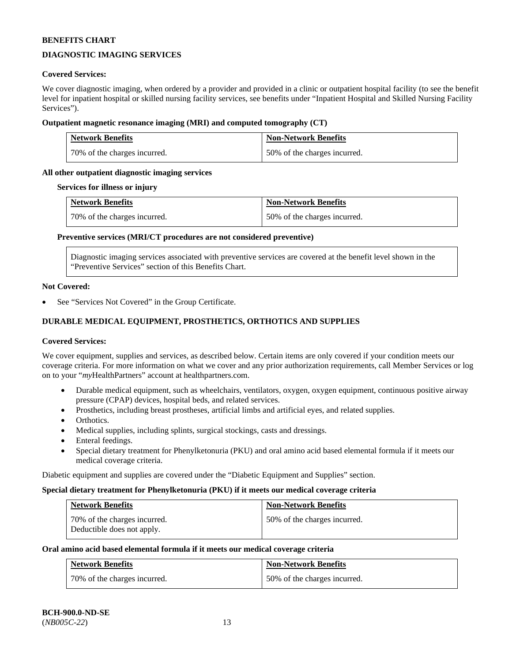# **DIAGNOSTIC IMAGING SERVICES**

### **Covered Services:**

We cover diagnostic imaging, when ordered by a provider and provided in a clinic or outpatient hospital facility (to see the benefit level for inpatient hospital or skilled nursing facility services, see benefits under "Inpatient Hospital and Skilled Nursing Facility Services").

### **Outpatient magnetic resonance imaging (MRI) and computed tomography (CT)**

| <b>Network Benefits</b>      | <b>Non-Network Benefits</b>  |
|------------------------------|------------------------------|
| 70% of the charges incurred. | 50% of the charges incurred. |

### **All other outpatient diagnostic imaging services**

#### **Services for illness or injury**

| <b>Network Benefits</b>      | <b>Non-Network Benefits</b>  |
|------------------------------|------------------------------|
| 70% of the charges incurred. | 50% of the charges incurred. |

#### **Preventive services (MRI/CT procedures are not considered preventive)**

Diagnostic imaging services associated with preventive services are covered at the benefit level shown in the "Preventive Services" section of this Benefits Chart.

#### **Not Covered:**

See "Services Not Covered" in the Group Certificate.

# **DURABLE MEDICAL EQUIPMENT, PROSTHETICS, ORTHOTICS AND SUPPLIES**

#### **Covered Services:**

We cover equipment, supplies and services, as described below. Certain items are only covered if your condition meets our coverage criteria. For more information on what we cover and any prior authorization requirements, call Member Services or log on to your "*my*HealthPartners" account at [healthpartners.com.](http://www.healthpartners.com/)

- Durable medical equipment, such as wheelchairs, ventilators, oxygen, oxygen equipment, continuous positive airway pressure (CPAP) devices, hospital beds, and related services.
- Prosthetics, including breast prostheses, artificial limbs and artificial eyes, and related supplies.
- Orthotics.
- Medical supplies, including splints, surgical stockings, casts and dressings.
- Enteral feedings.
- Special dietary treatment for Phenylketonuria (PKU) and oral amino acid based elemental formula if it meets our medical coverage criteria.

Diabetic equipment and supplies are covered under the "Diabetic Equipment and Supplies" section.

# **Special dietary treatment for Phenylketonuria (PKU) if it meets our medical coverage criteria**

| <b>Network Benefits</b>                                    | <b>Non-Network Benefits</b>  |
|------------------------------------------------------------|------------------------------|
| 70% of the charges incurred.<br>Deductible does not apply. | 50% of the charges incurred. |

# **Oral amino acid based elemental formula if it meets our medical coverage criteria**

| <b>Network Benefits</b>      | <b>Non-Network Benefits</b>  |
|------------------------------|------------------------------|
| 70% of the charges incurred. | 50% of the charges incurred. |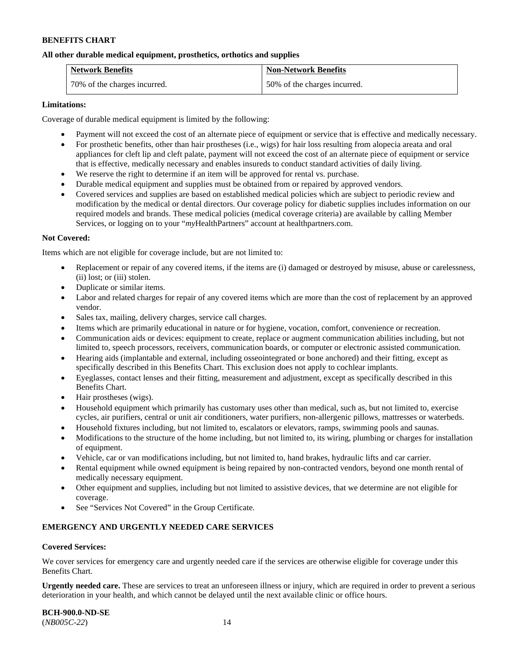### **All other durable medical equipment, prosthetics, orthotics and supplies**

| <b>Network Benefits</b>      | <b>Non-Network Benefits</b>  |
|------------------------------|------------------------------|
| 70% of the charges incurred. | 50% of the charges incurred. |

#### **Limitations:**

Coverage of durable medical equipment is limited by the following:

- Payment will not exceed the cost of an alternate piece of equipment or service that is effective and medically necessary.
- For prosthetic benefits, other than hair prostheses (i.e., wigs) for hair loss resulting from alopecia areata and oral appliances for cleft lip and cleft palate, payment will not exceed the cost of an alternate piece of equipment or service that is effective, medically necessary and enables insureds to conduct standard activities of daily living.
- We reserve the right to determine if an item will be approved for rental vs. purchase.
- Durable medical equipment and supplies must be obtained from or repaired by approved vendors.
- Covered services and supplies are based on established medical policies which are subject to periodic review and modification by the medical or dental directors. Our coverage policy for diabetic supplies includes information on our required models and brands. These medical policies (medical coverage criteria) are available by calling Member Services, or logging on to your "*my*HealthPartners" account at [healthpartners.com.](http://www.healthpartners.com/)

#### **Not Covered:**

Items which are not eligible for coverage include, but are not limited to:

- Replacement or repair of any covered items, if the items are (i) damaged or destroyed by misuse, abuse or carelessness, (ii) lost; or (iii) stolen.
- Duplicate or similar items.
- Labor and related charges for repair of any covered items which are more than the cost of replacement by an approved vendor.
- Sales tax, mailing, delivery charges, service call charges.
- Items which are primarily educational in nature or for hygiene, vocation, comfort, convenience or recreation.
- Communication aids or devices: equipment to create, replace or augment communication abilities including, but not limited to, speech processors, receivers, communication boards, or computer or electronic assisted communication.
- Hearing aids (implantable and external, including osseointegrated or bone anchored) and their fitting, except as specifically described in this Benefits Chart. This exclusion does not apply to cochlear implants.
- Eyeglasses, contact lenses and their fitting, measurement and adjustment, except as specifically described in this Benefits Chart.
- Hair prostheses (wigs).
- Household equipment which primarily has customary uses other than medical, such as, but not limited to, exercise cycles, air purifiers, central or unit air conditioners, water purifiers, non-allergenic pillows, mattresses or waterbeds.
- Household fixtures including, but not limited to, escalators or elevators, ramps, swimming pools and saunas.
- Modifications to the structure of the home including, but not limited to, its wiring, plumbing or charges for installation of equipment.
- Vehicle, car or van modifications including, but not limited to, hand brakes, hydraulic lifts and car carrier.
- Rental equipment while owned equipment is being repaired by non-contracted vendors, beyond one month rental of medically necessary equipment.
- Other equipment and supplies, including but not limited to assistive devices, that we determine are not eligible for coverage.
- See "Services Not Covered" in the Group Certificate.

### **EMERGENCY AND URGENTLY NEEDED CARE SERVICES**

#### **Covered Services:**

We cover services for emergency care and urgently needed care if the services are otherwise eligible for coverage under this Benefits Chart.

**Urgently needed care.** These are services to treat an unforeseen illness or injury, which are required in order to prevent a serious deterioration in your health, and which cannot be delayed until the next available clinic or office hours.

**BCH-900.0-ND-SE** (*NB005C-22*) 14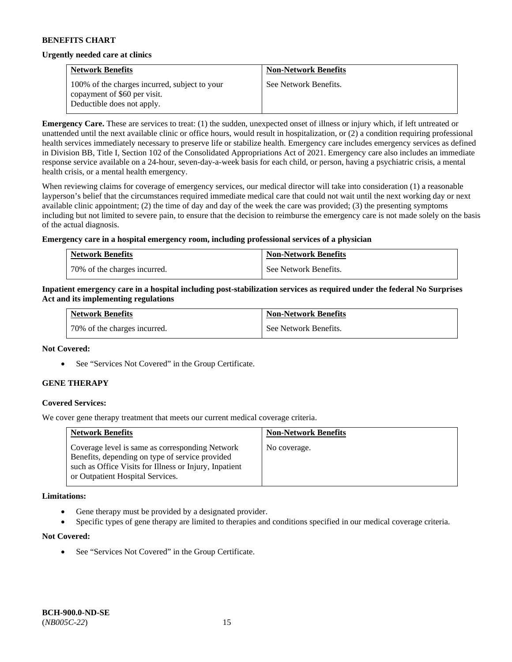#### **Urgently needed care at clinics**

| <b>Network Benefits</b>                                                                                     | <b>Non-Network Benefits</b> |
|-------------------------------------------------------------------------------------------------------------|-----------------------------|
| 100% of the charges incurred, subject to your<br>copayment of \$60 per visit.<br>Deductible does not apply. | See Network Benefits.       |

**Emergency Care.** These are services to treat: (1) the sudden, unexpected onset of illness or injury which, if left untreated or unattended until the next available clinic or office hours, would result in hospitalization, or (2) a condition requiring professional health services immediately necessary to preserve life or stabilize health. Emergency care includes emergency services as defined in Division BB, Title I, Section 102 of the Consolidated Appropriations Act of 2021. Emergency care also includes an immediate response service available on a 24-hour, seven-day-a-week basis for each child, or person, having a psychiatric crisis, a mental health crisis, or a mental health emergency.

When reviewing claims for coverage of emergency services, our medical director will take into consideration (1) a reasonable layperson's belief that the circumstances required immediate medical care that could not wait until the next working day or next available clinic appointment; (2) the time of day and day of the week the care was provided; (3) the presenting symptoms including but not limited to severe pain, to ensure that the decision to reimburse the emergency care is not made solely on the basis of the actual diagnosis.

#### **Emergency care in a hospital emergency room, including professional services of a physician**

| <b>Network Benefits</b>        | <b>Non-Network Benefits</b> |
|--------------------------------|-----------------------------|
| 1 70% of the charges incurred. | See Network Benefits.       |

### **Inpatient emergency care in a hospital including post-stabilization services as required under the federal No Surprises Act and its implementing regulations**

| <b>Network Benefits</b>      | <b>Non-Network Benefits</b> |
|------------------------------|-----------------------------|
| 70% of the charges incurred. | See Network Benefits.       |

#### **Not Covered:**

• See "Services Not Covered" in the Group Certificate.

### **GENE THERAPY**

### **Covered Services:**

We cover gene therapy treatment that meets our current medical coverage criteria.

| <b>Network Benefits</b>                                                                                                                                                                          | <b>Non-Network Benefits</b> |
|--------------------------------------------------------------------------------------------------------------------------------------------------------------------------------------------------|-----------------------------|
| Coverage level is same as corresponding Network<br>Benefits, depending on type of service provided<br>such as Office Visits for Illness or Injury, Inpatient<br>or Outpatient Hospital Services. | No coverage.                |

#### **Limitations:**

- Gene therapy must be provided by a designated provider.
- Specific types of gene therapy are limited to therapies and conditions specified in our medical coverage criteria.

#### **Not Covered:**

See "Services Not Covered" in the Group Certificate.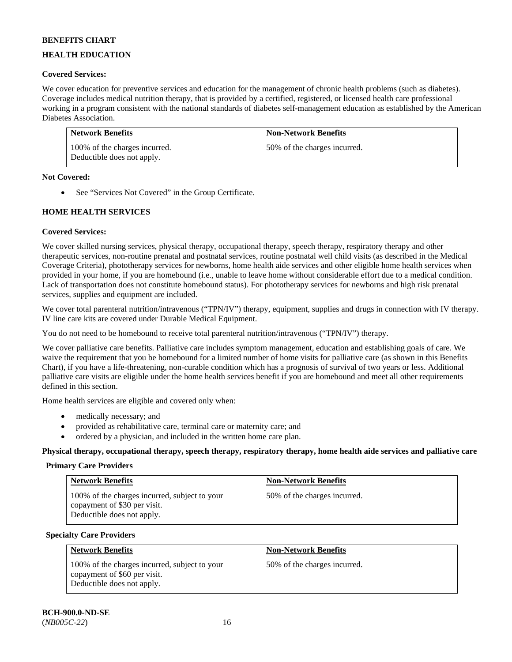# **HEALTH EDUCATION**

# **Covered Services:**

We cover education for preventive services and education for the management of chronic health problems (such as diabetes). Coverage includes medical nutrition therapy, that is provided by a certified, registered, or licensed health care professional working in a program consistent with the national standards of diabetes self-management education as established by the American Diabetes Association.

| <b>Network Benefits</b>                                     | <b>Non-Network Benefits</b>  |
|-------------------------------------------------------------|------------------------------|
| 100% of the charges incurred.<br>Deductible does not apply. | 50% of the charges incurred. |

#### **Not Covered:**

• See "Services Not Covered" in the Group Certificate.

### **HOME HEALTH SERVICES**

### **Covered Services:**

We cover skilled nursing services, physical therapy, occupational therapy, speech therapy, respiratory therapy and other therapeutic services, non-routine prenatal and postnatal services, routine postnatal well child visits (as described in the Medical Coverage Criteria), phototherapy services for newborns, home health aide services and other eligible home health services when provided in your home, if you are homebound (i.e., unable to leave home without considerable effort due to a medical condition. Lack of transportation does not constitute homebound status). For phototherapy services for newborns and high risk prenatal services, supplies and equipment are included.

We cover total parenteral nutrition/intravenous ("TPN/IV") therapy, equipment, supplies and drugs in connection with IV therapy. IV line care kits are covered under Durable Medical Equipment.

You do not need to be homebound to receive total parenteral nutrition/intravenous ("TPN/IV") therapy.

We cover palliative care benefits. Palliative care includes symptom management, education and establishing goals of care. We waive the requirement that you be homebound for a limited number of home visits for palliative care (as shown in this Benefits Chart), if you have a life-threatening, non-curable condition which has a prognosis of survival of two years or less. Additional palliative care visits are eligible under the home health services benefit if you are homebound and meet all other requirements defined in this section.

Home health services are eligible and covered only when:

- medically necessary; and
- provided as rehabilitative care, terminal care or maternity care; and
- ordered by a physician, and included in the written home care plan.

**Physical therapy, occupational therapy, speech therapy, respiratory therapy, home health aide services and palliative care**

#### **Primary Care Providers**

| <b>Network Benefits</b>                                                                                     | <b>Non-Network Benefits</b>  |
|-------------------------------------------------------------------------------------------------------------|------------------------------|
| 100% of the charges incurred, subject to your<br>copayment of \$30 per visit.<br>Deductible does not apply. | 50% of the charges incurred. |

#### **Specialty Care Providers**

| <b>Network Benefits</b>                                                                                     | <b>Non-Network Benefits</b>  |
|-------------------------------------------------------------------------------------------------------------|------------------------------|
| 100% of the charges incurred, subject to your<br>copayment of \$60 per visit.<br>Deductible does not apply. | 50% of the charges incurred. |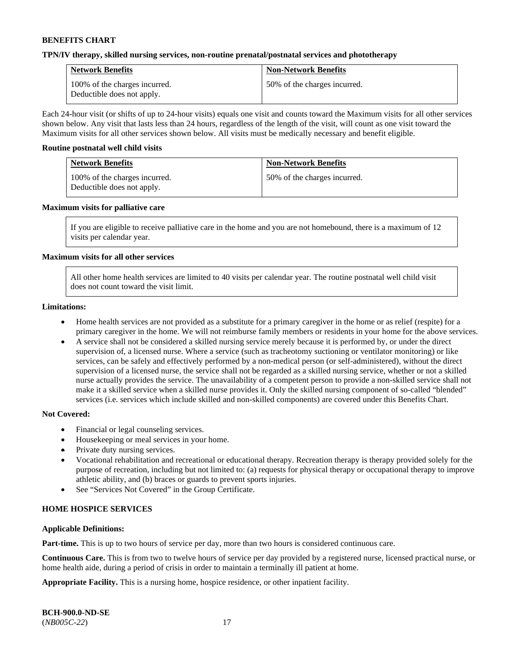#### **TPN/IV therapy, skilled nursing services, non-routine prenatal/postnatal services and phototherapy**

| <b>Network Benefits</b>                                     | <b>Non-Network Benefits</b>  |
|-------------------------------------------------------------|------------------------------|
| 100% of the charges incurred.<br>Deductible does not apply. | 50% of the charges incurred. |

Each 24-hour visit (or shifts of up to 24-hour visits) equals one visit and counts toward the Maximum visits for all other services shown below. Any visit that lasts less than 24 hours, regardless of the length of the visit, will count as one visit toward the Maximum visits for all other services shown below. All visits must be medically necessary and benefit eligible.

#### **Routine postnatal well child visits**

| <b>Network Benefits</b>                                     | <b>Non-Network Benefits</b>  |
|-------------------------------------------------------------|------------------------------|
| 100% of the charges incurred.<br>Deductible does not apply. | 50% of the charges incurred. |

#### **Maximum visits for palliative care**

If you are eligible to receive palliative care in the home and you are not homebound, there is a maximum of 12 visits per calendar year.

#### **Maximum visits for all other services**

All other home health services are limited to 40 visits per calendar year. The routine postnatal well child visit does not count toward the visit limit.

#### **Limitations:**

- Home health services are not provided as a substitute for a primary caregiver in the home or as relief (respite) for a primary caregiver in the home. We will not reimburse family members or residents in your home for the above services.
- A service shall not be considered a skilled nursing service merely because it is performed by, or under the direct supervision of, a licensed nurse. Where a service (such as tracheotomy suctioning or ventilator monitoring) or like services, can be safely and effectively performed by a non-medical person (or self-administered), without the direct supervision of a licensed nurse, the service shall not be regarded as a skilled nursing service, whether or not a skilled nurse actually provides the service. The unavailability of a competent person to provide a non-skilled service shall not make it a skilled service when a skilled nurse provides it. Only the skilled nursing component of so-called "blended" services (i.e. services which include skilled and non-skilled components) are covered under this Benefits Chart.

#### **Not Covered:**

- Financial or legal counseling services.
- Housekeeping or meal services in your home.
- Private duty nursing services.
- Vocational rehabilitation and recreational or educational therapy. Recreation therapy is therapy provided solely for the purpose of recreation, including but not limited to: (a) requests for physical therapy or occupational therapy to improve athletic ability, and (b) braces or guards to prevent sports injuries.
- See "Services Not Covered" in the Group Certificate.

### **HOME HOSPICE SERVICES**

#### **Applicable Definitions:**

**Part-time.** This is up to two hours of service per day, more than two hours is considered continuous care.

**Continuous Care.** This is from two to twelve hours of service per day provided by a registered nurse, licensed practical nurse, or home health aide, during a period of crisis in order to maintain a terminally ill patient at home.

**Appropriate Facility.** This is a nursing home, hospice residence, or other inpatient facility.

| <b>BCH-900.0-ND-SE</b> |  |
|------------------------|--|
| $(NB005C-22)$          |  |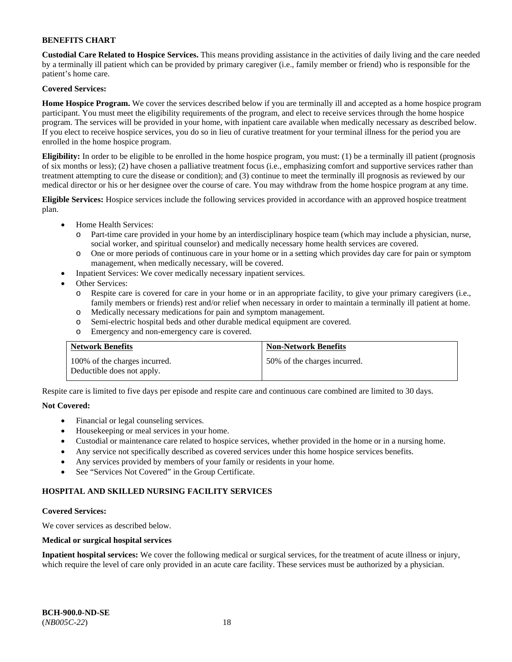**Custodial Care Related to Hospice Services.** This means providing assistance in the activities of daily living and the care needed by a terminally ill patient which can be provided by primary caregiver (i.e., family member or friend) who is responsible for the patient's home care.

### **Covered Services:**

**Home Hospice Program.** We cover the services described below if you are terminally ill and accepted as a home hospice program participant. You must meet the eligibility requirements of the program, and elect to receive services through the home hospice program. The services will be provided in your home, with inpatient care available when medically necessary as described below. If you elect to receive hospice services, you do so in lieu of curative treatment for your terminal illness for the period you are enrolled in the home hospice program.

**Eligibility:** In order to be eligible to be enrolled in the home hospice program, you must: (1) be a terminally ill patient (prognosis of six months or less); (2) have chosen a palliative treatment focus (i.e., emphasizing comfort and supportive services rather than treatment attempting to cure the disease or condition); and (3) continue to meet the terminally ill prognosis as reviewed by our medical director or his or her designee over the course of care. You may withdraw from the home hospice program at any time.

**Eligible Services:** Hospice services include the following services provided in accordance with an approved hospice treatment plan.

- Home Health Services:
	- o Part-time care provided in your home by an interdisciplinary hospice team (which may include a physician, nurse, social worker, and spiritual counselor) and medically necessary home health services are covered.
	- o One or more periods of continuous care in your home or in a setting which provides day care for pain or symptom management, when medically necessary, will be covered.
	- Inpatient Services: We cover medically necessary inpatient services.
- Other Services:
	- o Respite care is covered for care in your home or in an appropriate facility, to give your primary caregivers (i.e., family members or friends) rest and/or relief when necessary in order to maintain a terminally ill patient at home.
	- o Medically necessary medications for pain and symptom management.
	- o Semi-electric hospital beds and other durable medical equipment are covered.
	- o Emergency and non-emergency care is covered.

| <b>Network Benefits</b>                                     | <b>Non-Network Benefits</b>  |
|-------------------------------------------------------------|------------------------------|
| 100% of the charges incurred.<br>Deductible does not apply. | 50% of the charges incurred. |

Respite care is limited to five days per episode and respite care and continuous care combined are limited to 30 days.

### **Not Covered:**

- Financial or legal counseling services.
- Housekeeping or meal services in your home.
- Custodial or maintenance care related to hospice services, whether provided in the home or in a nursing home.
- Any service not specifically described as covered services under this home hospice services benefits.
- Any services provided by members of your family or residents in your home.
- See "Services Not Covered" in the Group Certificate.

### **HOSPITAL AND SKILLED NURSING FACILITY SERVICES**

#### **Covered Services:**

We cover services as described below.

#### **Medical or surgical hospital services**

**Inpatient hospital services:** We cover the following medical or surgical services, for the treatment of acute illness or injury, which require the level of care only provided in an acute care facility. These services must be authorized by a physician.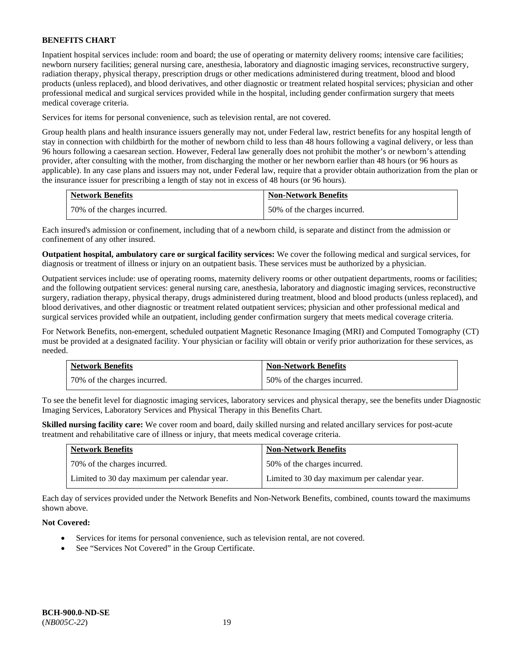Inpatient hospital services include: room and board; the use of operating or maternity delivery rooms; intensive care facilities; newborn nursery facilities; general nursing care, anesthesia, laboratory and diagnostic imaging services, reconstructive surgery, radiation therapy, physical therapy, prescription drugs or other medications administered during treatment, blood and blood products (unless replaced), and blood derivatives, and other diagnostic or treatment related hospital services; physician and other professional medical and surgical services provided while in the hospital, including gender confirmation surgery that meets medical coverage criteria.

Services for items for personal convenience, such as television rental, are not covered.

Group health plans and health insurance issuers generally may not, under Federal law, restrict benefits for any hospital length of stay in connection with childbirth for the mother of newborn child to less than 48 hours following a vaginal delivery, or less than 96 hours following a caesarean section. However, Federal law generally does not prohibit the mother's or newborn's attending provider, after consulting with the mother, from discharging the mother or her newborn earlier than 48 hours (or 96 hours as applicable). In any case plans and issuers may not, under Federal law, require that a provider obtain authorization from the plan or the insurance issuer for prescribing a length of stay not in excess of 48 hours (or 96 hours).

| <b>Network Benefits</b>      | <b>Non-Network Benefits</b>  |
|------------------------------|------------------------------|
| 70% of the charges incurred. | 50% of the charges incurred. |

Each insured's admission or confinement, including that of a newborn child, is separate and distinct from the admission or confinement of any other insured.

**Outpatient hospital, ambulatory care or surgical facility services:** We cover the following medical and surgical services, for diagnosis or treatment of illness or injury on an outpatient basis. These services must be authorized by a physician.

Outpatient services include: use of operating rooms, maternity delivery rooms or other outpatient departments, rooms or facilities; and the following outpatient services: general nursing care, anesthesia, laboratory and diagnostic imaging services, reconstructive surgery, radiation therapy, physical therapy, drugs administered during treatment, blood and blood products (unless replaced), and blood derivatives, and other diagnostic or treatment related outpatient services; physician and other professional medical and surgical services provided while an outpatient, including gender confirmation surgery that meets medical coverage criteria.

For Network Benefits, non-emergent, scheduled outpatient Magnetic Resonance Imaging (MRI) and Computed Tomography (CT) must be provided at a designated facility. Your physician or facility will obtain or verify prior authorization for these services, as needed.

| <b>Network Benefits</b>      | <b>Non-Network Benefits</b>  |
|------------------------------|------------------------------|
| 70% of the charges incurred. | 50% of the charges incurred. |

To see the benefit level for diagnostic imaging services, laboratory services and physical therapy, see the benefits under Diagnostic Imaging Services, Laboratory Services and Physical Therapy in this Benefits Chart.

**Skilled nursing facility care:** We cover room and board, daily skilled nursing and related ancillary services for post-acute treatment and rehabilitative care of illness or injury, that meets medical coverage criteria.

| <b>Network Benefits</b>                      | <b>Non-Network Benefits</b>                  |
|----------------------------------------------|----------------------------------------------|
| 70% of the charges incurred.                 | 50% of the charges incurred.                 |
| Limited to 30 day maximum per calendar year. | Limited to 30 day maximum per calendar year. |

Each day of services provided under the Network Benefits and Non-Network Benefits, combined, counts toward the maximums shown above.

### **Not Covered:**

- Services for items for personal convenience, such as television rental, are not covered.
- See "Services Not Covered" in the Group Certificate.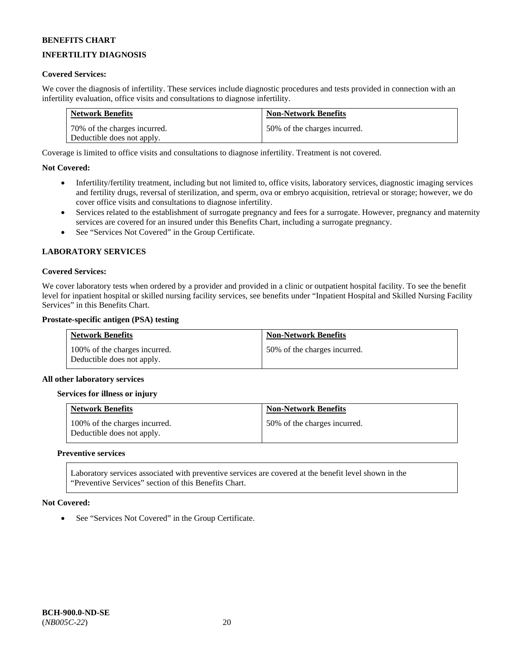# **INFERTILITY DIAGNOSIS**

### **Covered Services:**

We cover the diagnosis of infertility. These services include diagnostic procedures and tests provided in connection with an infertility evaluation, office visits and consultations to diagnose infertility.

| <b>Network Benefits</b>      | <b>Non-Network Benefits</b>  |
|------------------------------|------------------------------|
| 70% of the charges incurred. | 50% of the charges incurred. |
| Deductible does not apply.   |                              |

Coverage is limited to office visits and consultations to diagnose infertility. Treatment is not covered.

#### **Not Covered:**

- Infertility/fertility treatment, including but not limited to, office visits, laboratory services, diagnostic imaging services and fertility drugs, reversal of sterilization, and sperm, ova or embryo acquisition, retrieval or storage; however, we do cover office visits and consultations to diagnose infertility.
- Services related to the establishment of surrogate pregnancy and fees for a surrogate. However, pregnancy and maternity services are covered for an insured under this Benefits Chart, including a surrogate pregnancy.
- See "Services Not Covered" in the Group Certificate.

#### **LABORATORY SERVICES**

#### **Covered Services:**

We cover laboratory tests when ordered by a provider and provided in a clinic or outpatient hospital facility. To see the benefit level for inpatient hospital or skilled nursing facility services, see benefits under "Inpatient Hospital and Skilled Nursing Facility Services" in this Benefits Chart.

#### **Prostate-specific antigen (PSA) testing**

| <b>Network Benefits</b>                                     | <b>Non-Network Benefits</b>  |
|-------------------------------------------------------------|------------------------------|
| 100% of the charges incurred.<br>Deductible does not apply. | 50% of the charges incurred. |

#### **All other laboratory services**

#### **Services for illness or injury**

| <b>Network Benefits</b>                                     | <b>Non-Network Benefits</b>  |
|-------------------------------------------------------------|------------------------------|
| 100% of the charges incurred.<br>Deductible does not apply. | 50% of the charges incurred. |

#### **Preventive services**

Laboratory services associated with preventive services are covered at the benefit level shown in the "Preventive Services" section of this Benefits Chart.

#### **Not Covered:**

See "Services Not Covered" in the Group Certificate.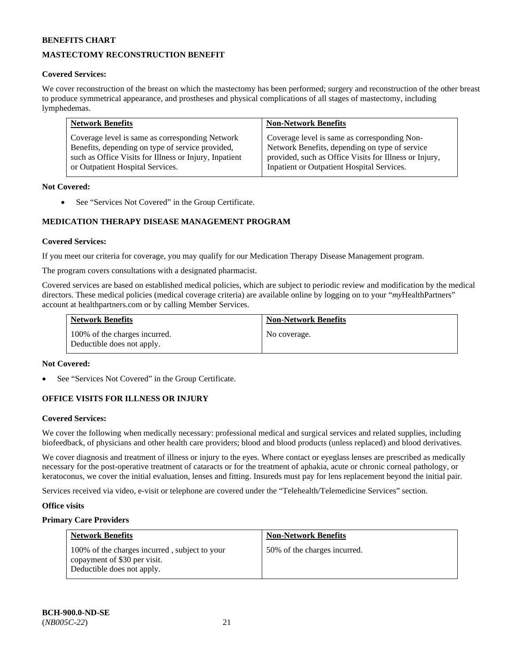# **MASTECTOMY RECONSTRUCTION BENEFIT**

### **Covered Services:**

We cover reconstruction of the breast on which the mastectomy has been performed; surgery and reconstruction of the other breast to produce symmetrical appearance, and prostheses and physical complications of all stages of mastectomy, including lymphedemas.

| <b>Network Benefits</b>                                | <b>Non-Network Benefits</b>                            |
|--------------------------------------------------------|--------------------------------------------------------|
| Coverage level is same as corresponding Network        | Coverage level is same as corresponding Non-           |
| Benefits, depending on type of service provided,       | Network Benefits, depending on type of service         |
| such as Office Visits for Illness or Injury, Inpatient | provided, such as Office Visits for Illness or Injury, |
| or Outpatient Hospital Services.                       | Inpatient or Outpatient Hospital Services.             |

#### **Not Covered:**

• See "Services Not Covered" in the Group Certificate.

# **MEDICATION THERAPY DISEASE MANAGEMENT PROGRAM**

#### **Covered Services:**

If you meet our criteria for coverage, you may qualify for our Medication Therapy Disease Management program.

The program covers consultations with a designated pharmacist.

Covered services are based on established medical policies, which are subject to periodic review and modification by the medical directors. These medical policies (medical coverage criteria) are available online by logging on to your "*my*HealthPartners" account a[t healthpartners.com](http://www.healthpartners.com/) or by calling Member Services.

| <b>Network Benefits</b>                                     | <b>Non-Network Benefits</b> |
|-------------------------------------------------------------|-----------------------------|
| 100% of the charges incurred.<br>Deductible does not apply. | No coverage.                |

#### **Not Covered:**

See "Services Not Covered" in the Group Certificate.

### **OFFICE VISITS FOR ILLNESS OR INJURY**

#### **Covered Services:**

We cover the following when medically necessary: professional medical and surgical services and related supplies, including biofeedback, of physicians and other health care providers; blood and blood products (unless replaced) and blood derivatives.

We cover diagnosis and treatment of illness or injury to the eyes. Where contact or eyeglass lenses are prescribed as medically necessary for the post-operative treatment of cataracts or for the treatment of aphakia, acute or chronic corneal pathology, or keratoconus, we cover the initial evaluation, lenses and fitting. Insureds must pay for lens replacement beyond the initial pair.

Services received via video, e-visit or telephone are covered under the "Telehealth/Telemedicine Services" section.

#### **Office visits**

### **Primary Care Providers**

| <b>Network Benefits</b>                                                                                     | <b>Non-Network Benefits</b>  |
|-------------------------------------------------------------------------------------------------------------|------------------------------|
| 100% of the charges incurred, subject to your<br>copayment of \$30 per visit.<br>Deductible does not apply. | 50% of the charges incurred. |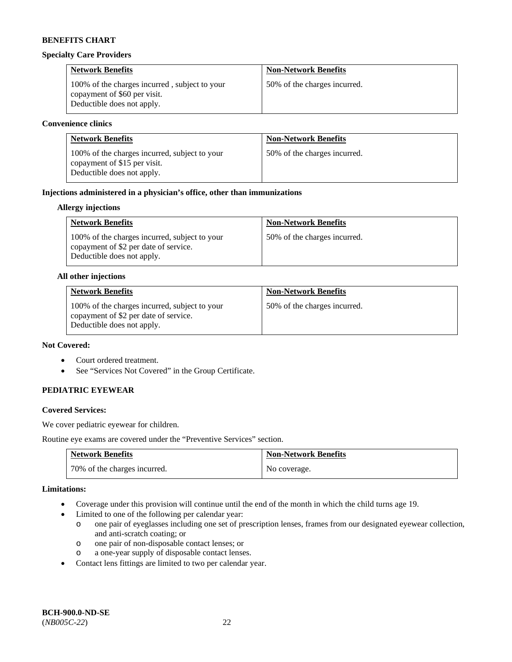#### **Specialty Care Providers**

| <b>Network Benefits</b>                                                                                     | <b>Non-Network Benefits</b>  |
|-------------------------------------------------------------------------------------------------------------|------------------------------|
| 100% of the charges incurred, subject to your<br>copayment of \$60 per visit.<br>Deductible does not apply. | 50% of the charges incurred. |

#### **Convenience clinics**

| <b>Network Benefits</b>                                                                                     | <b>Non-Network Benefits</b>  |
|-------------------------------------------------------------------------------------------------------------|------------------------------|
| 100% of the charges incurred, subject to your<br>copayment of \$15 per visit.<br>Deductible does not apply. | 50% of the charges incurred. |

### **Injections administered in a physician's office, other than immunizations**

### **Allergy injections**

| <b>Network Benefits</b>                                                                                              | <b>Non-Network Benefits</b>  |
|----------------------------------------------------------------------------------------------------------------------|------------------------------|
| 100% of the charges incurred, subject to your<br>copayment of \$2 per date of service.<br>Deductible does not apply. | 50% of the charges incurred. |

#### **All other injections**

| <b>Network Benefits</b>                                                                                              | <b>Non-Network Benefits</b>  |
|----------------------------------------------------------------------------------------------------------------------|------------------------------|
| 100% of the charges incurred, subject to your<br>copayment of \$2 per date of service.<br>Deductible does not apply. | 50% of the charges incurred. |

# **Not Covered:**

- Court ordered treatment.
- See "Services Not Covered" in the Group Certificate.

### **PEDIATRIC EYEWEAR**

### **Covered Services:**

We cover pediatric eyewear for children.

Routine eye exams are covered under the "Preventive Services" section.

| <b>Network Benefits</b>      | <b>Non-Network Benefits</b> |
|------------------------------|-----------------------------|
| 70% of the charges incurred. | No coverage.                |

#### **Limitations:**

- Coverage under this provision will continue until the end of the month in which the child turns age 19.
- Limited to one of the following per calendar year:
	- o one pair of eyeglasses including one set of prescription lenses, frames from our designated eyewear collection, and anti-scratch coating; or
	- o one pair of non-disposable contact lenses; or
	- o a one-year supply of disposable contact lenses.
- Contact lens fittings are limited to two per calendar year.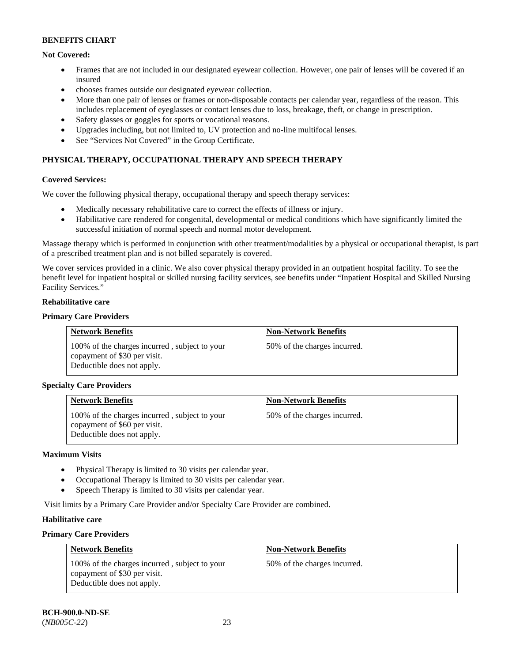# **Not Covered:**

- Frames that are not included in our designated eyewear collection. However, one pair of lenses will be covered if an insured
- chooses frames outside our designated eyewear collection.
- More than one pair of lenses or frames or non-disposable contacts per calendar year, regardless of the reason. This includes replacement of eyeglasses or contact lenses due to loss, breakage, theft, or change in prescription.
- Safety glasses or goggles for sports or vocational reasons.
- Upgrades including, but not limited to, UV protection and no-line multifocal lenses.
- See "Services Not Covered" in the Group Certificate.

# **PHYSICAL THERAPY, OCCUPATIONAL THERAPY AND SPEECH THERAPY**

### **Covered Services:**

We cover the following physical therapy, occupational therapy and speech therapy services:

- Medically necessary rehabilitative care to correct the effects of illness or injury.
- Habilitative care rendered for congenital, developmental or medical conditions which have significantly limited the successful initiation of normal speech and normal motor development.

Massage therapy which is performed in conjunction with other treatment/modalities by a physical or occupational therapist, is part of a prescribed treatment plan and is not billed separately is covered.

We cover services provided in a clinic. We also cover physical therapy provided in an outpatient hospital facility. To see the benefit level for inpatient hospital or skilled nursing facility services, see benefits under "Inpatient Hospital and Skilled Nursing Facility Services."

#### **Rehabilitative care**

### **Primary Care Providers**

| <b>Network Benefits</b>                                                                                     | <b>Non-Network Benefits</b>  |
|-------------------------------------------------------------------------------------------------------------|------------------------------|
| 100% of the charges incurred, subject to your<br>copayment of \$30 per visit.<br>Deductible does not apply. | 50% of the charges incurred. |

### **Specialty Care Providers**

| <b>Network Benefits</b>                                                                                     | <b>Non-Network Benefits</b>  |
|-------------------------------------------------------------------------------------------------------------|------------------------------|
| 100% of the charges incurred, subject to your<br>copayment of \$60 per visit.<br>Deductible does not apply. | 50% of the charges incurred. |

#### **Maximum Visits**

- Physical Therapy is limited to 30 visits per calendar year.
- Occupational Therapy is limited to 30 visits per calendar year.
- Speech Therapy is limited to 30 visits per calendar year.

Visit limits by a Primary Care Provider and/or Specialty Care Provider are combined.

### **Habilitative care**

### **Primary Care Providers**

| <b>Network Benefits</b>                                                                                     | <b>Non-Network Benefits</b>  |
|-------------------------------------------------------------------------------------------------------------|------------------------------|
| 100% of the charges incurred, subject to your<br>copayment of \$30 per visit.<br>Deductible does not apply. | 50% of the charges incurred. |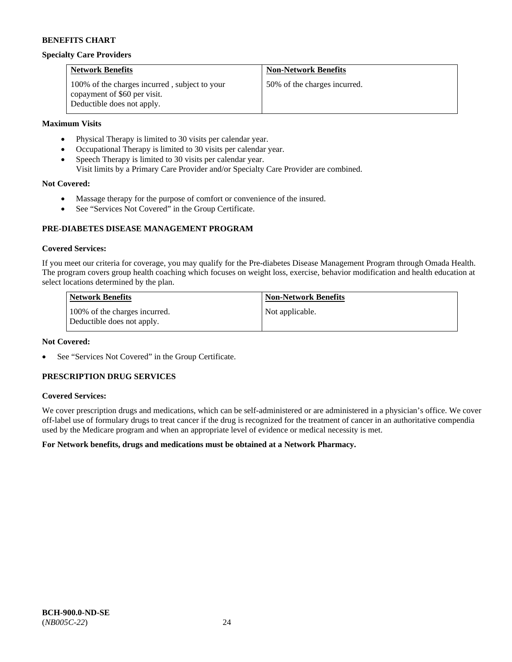#### **Specialty Care Providers**

| <b>Network Benefits</b>                                                                                     | <b>Non-Network Benefits</b>  |
|-------------------------------------------------------------------------------------------------------------|------------------------------|
| 100% of the charges incurred, subject to your<br>copayment of \$60 per visit.<br>Deductible does not apply. | 50% of the charges incurred. |

### **Maximum Visits**

- Physical Therapy is limited to 30 visits per calendar year.
- Occupational Therapy is limited to 30 visits per calendar year.
- Speech Therapy is limited to 30 visits per calendar year.
- Visit limits by a Primary Care Provider and/or Specialty Care Provider are combined.

### **Not Covered:**

- Massage therapy for the purpose of comfort or convenience of the insured.
- See "Services Not Covered" in the Group Certificate.

### **PRE-DIABETES DISEASE MANAGEMENT PROGRAM**

#### **Covered Services:**

If you meet our criteria for coverage, you may qualify for the Pre-diabetes Disease Management Program through Omada Health. The program covers group health coaching which focuses on weight loss, exercise, behavior modification and health education at select locations determined by the plan.

| Network Benefits                                            | <b>Non-Network Benefits</b> |
|-------------------------------------------------------------|-----------------------------|
| 100% of the charges incurred.<br>Deductible does not apply. | Not applicable.             |

#### **Not Covered:**

See "Services Not Covered" in the Group Certificate.

# **PRESCRIPTION DRUG SERVICES**

#### **Covered Services:**

We cover prescription drugs and medications, which can be self-administered or are administered in a physician's office. We cover off-label use of formulary drugs to treat cancer if the drug is recognized for the treatment of cancer in an authoritative compendia used by the Medicare program and when an appropriate level of evidence or medical necessity is met.

### **For Network benefits, drugs and medications must be obtained at a Network Pharmacy.**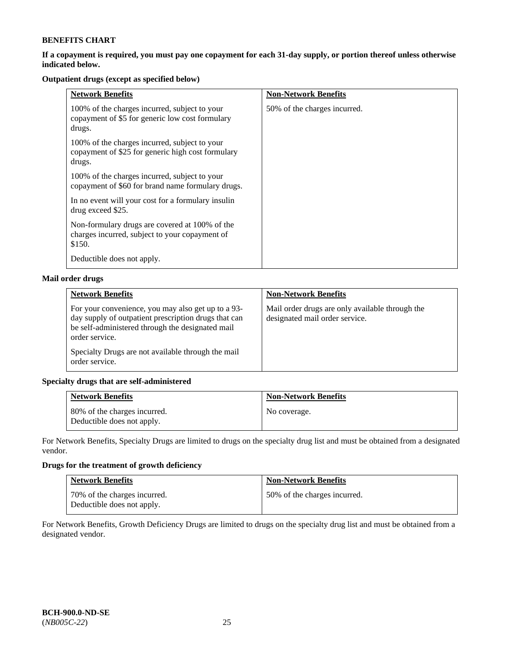### **If a copayment is required, you must pay one copayment for each 31-day supply, or portion thereof unless otherwise indicated below.**

# **Outpatient drugs (except as specified below)**

| <b>Network Benefits</b>                                                                                      | <b>Non-Network Benefits</b>  |
|--------------------------------------------------------------------------------------------------------------|------------------------------|
| 100% of the charges incurred, subject to your<br>copayment of \$5 for generic low cost formulary<br>drugs.   | 50% of the charges incurred. |
| 100% of the charges incurred, subject to your<br>copayment of \$25 for generic high cost formulary<br>drugs. |                              |
| 100% of the charges incurred, subject to your<br>copayment of \$60 for brand name formulary drugs.           |                              |
| In no event will your cost for a formulary insulin<br>drug exceed \$25.                                      |                              |
| Non-formulary drugs are covered at 100% of the<br>charges incurred, subject to your copayment of<br>\$150.   |                              |
| Deductible does not apply.                                                                                   |                              |

# **Mail order drugs**

| <b>Network Benefits</b>                                                                                                                                                          | <b>Non-Network Benefits</b>                                                       |
|----------------------------------------------------------------------------------------------------------------------------------------------------------------------------------|-----------------------------------------------------------------------------------|
| For your convenience, you may also get up to a 93-<br>day supply of outpatient prescription drugs that can<br>be self-administered through the designated mail<br>order service. | Mail order drugs are only available through the<br>designated mail order service. |
| Specialty Drugs are not available through the mail<br>order service.                                                                                                             |                                                                                   |

### **Specialty drugs that are self-administered**

| <b>Network Benefits</b>                                    | <b>Non-Network Benefits</b> |
|------------------------------------------------------------|-----------------------------|
| 80% of the charges incurred.<br>Deductible does not apply. | No coverage.                |

For Network Benefits, Specialty Drugs are limited to drugs on the specialty drug list and must be obtained from a designated vendor.

# **Drugs for the treatment of growth deficiency**

| <b>Network Benefits</b>                                    | <b>Non-Network Benefits</b>  |
|------------------------------------------------------------|------------------------------|
| 70% of the charges incurred.<br>Deductible does not apply. | 50% of the charges incurred. |

For Network Benefits, Growth Deficiency Drugs are limited to drugs on the specialty drug list and must be obtained from a designated vendor.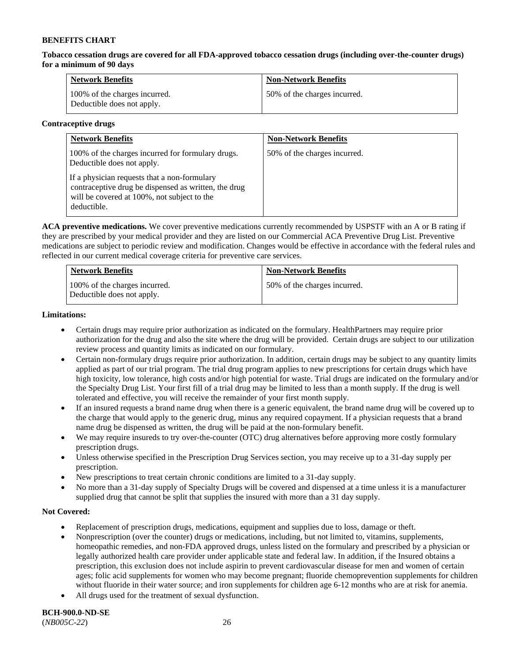**Tobacco cessation drugs are covered for all FDA-approved tobacco cessation drugs (including over-the-counter drugs) for a minimum of 90 days**

| <b>Network Benefits</b>                                     | <b>Non-Network Benefits</b>  |
|-------------------------------------------------------------|------------------------------|
| 100% of the charges incurred.<br>Deductible does not apply. | 50% of the charges incurred. |

#### **Contraceptive drugs**

| <b>Network Benefits</b>                                                                                                                                            | <b>Non-Network Benefits</b>  |
|--------------------------------------------------------------------------------------------------------------------------------------------------------------------|------------------------------|
| 100% of the charges incurred for formulary drugs.<br>Deductible does not apply.                                                                                    | 50% of the charges incurred. |
| If a physician requests that a non-formulary<br>contraceptive drug be dispensed as written, the drug<br>will be covered at 100%, not subject to the<br>deductible. |                              |

**ACA preventive medications.** We cover preventive medications currently recommended by USPSTF with an A or B rating if they are prescribed by your medical provider and they are listed on our Commercial ACA Preventive Drug List. Preventive medications are subject to periodic review and modification. Changes would be effective in accordance with the federal rules and reflected in our current medical coverage criteria for preventive care services.

| <b>Network Benefits</b>                                     | <b>Non-Network Benefits</b>  |
|-------------------------------------------------------------|------------------------------|
| 100% of the charges incurred.<br>Deductible does not apply. | 50% of the charges incurred. |

#### **Limitations:**

- Certain drugs may require prior authorization as indicated on the formulary. HealthPartners may require prior authorization for the drug and also the site where the drug will be provided. Certain drugs are subject to our utilization review process and quantity limits as indicated on our formulary.
- Certain non-formulary drugs require prior authorization. In addition, certain drugs may be subject to any quantity limits applied as part of our trial program. The trial drug program applies to new prescriptions for certain drugs which have high toxicity, low tolerance, high costs and/or high potential for waste. Trial drugs are indicated on the formulary and/or the Specialty Drug List. Your first fill of a trial drug may be limited to less than a month supply. If the drug is well tolerated and effective, you will receive the remainder of your first month supply.
- If an insured requests a brand name drug when there is a generic equivalent, the brand name drug will be covered up to the charge that would apply to the generic drug, minus any required copayment. If a physician requests that a brand name drug be dispensed as written, the drug will be paid at the non-formulary benefit.
- We may require insureds to try over-the-counter (OTC) drug alternatives before approving more costly formulary prescription drugs.
- Unless otherwise specified in the Prescription Drug Services section, you may receive up to a 31-day supply per prescription.
- New prescriptions to treat certain chronic conditions are limited to a 31-day supply.
- No more than a 31-day supply of Specialty Drugs will be covered and dispensed at a time unless it is a manufacturer supplied drug that cannot be split that supplies the insured with more than a 31 day supply.

### **Not Covered:**

- Replacement of prescription drugs, medications, equipment and supplies due to loss, damage or theft.
- Nonprescription (over the counter) drugs or medications, including, but not limited to, vitamins, supplements, homeopathic remedies, and non-FDA approved drugs, unless listed on the formulary and prescribed by a physician or legally authorized health care provider under applicable state and federal law. In addition, if the Insured obtains a prescription, this exclusion does not include aspirin to prevent cardiovascular disease for men and women of certain ages; folic acid supplements for women who may become pregnant; fluoride chemoprevention supplements for children without fluoride in their water source; and iron supplements for children age 6-12 months who are at risk for anemia.
- All drugs used for the treatment of sexual dysfunction.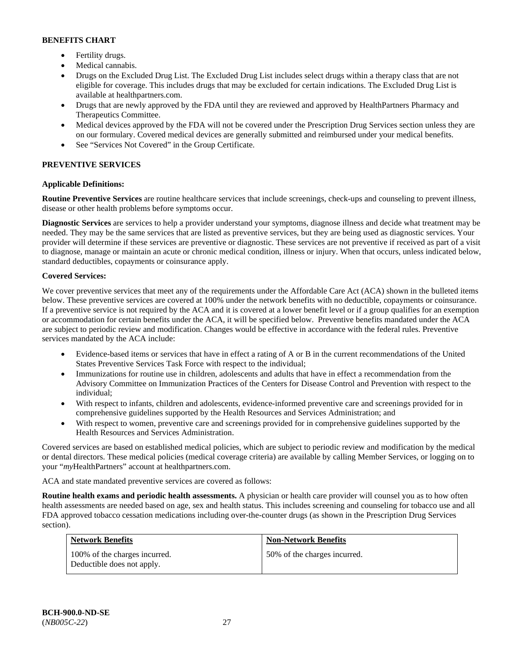- Fertility drugs.
- Medical cannabis.
- Drugs on the Excluded Drug List. The Excluded Drug List includes select drugs within a therapy class that are not eligible for coverage. This includes drugs that may be excluded for certain indications. The Excluded Drug List is available at [healthpartners.com.](http://www.healthpartners.com/)
- Drugs that are newly approved by the FDA until they are reviewed and approved by HealthPartners Pharmacy and Therapeutics Committee.
- Medical devices approved by the FDA will not be covered under the Prescription Drug Services section unless they are on our formulary. Covered medical devices are generally submitted and reimbursed under your medical benefits.
- See "Services Not Covered" in the Group Certificate.

# **PREVENTIVE SERVICES**

# **Applicable Definitions:**

**Routine Preventive Services** are routine healthcare services that include screenings, check-ups and counseling to prevent illness, disease or other health problems before symptoms occur.

**Diagnostic Services** are services to help a provider understand your symptoms, diagnose illness and decide what treatment may be needed. They may be the same services that are listed as preventive services, but they are being used as diagnostic services. Your provider will determine if these services are preventive or diagnostic. These services are not preventive if received as part of a visit to diagnose, manage or maintain an acute or chronic medical condition, illness or injury. When that occurs, unless indicated below, standard deductibles, copayments or coinsurance apply.

### **Covered Services:**

We cover preventive services that meet any of the requirements under the Affordable Care Act (ACA) shown in the bulleted items below. These preventive services are covered at 100% under the network benefits with no deductible, copayments or coinsurance. If a preventive service is not required by the ACA and it is covered at a lower benefit level or if a group qualifies for an exemption or accommodation for certain benefits under the ACA, it will be specified below. Preventive benefits mandated under the ACA are subject to periodic review and modification. Changes would be effective in accordance with the federal rules. Preventive services mandated by the ACA include:

- Evidence-based items or services that have in effect a rating of A or B in the current recommendations of the United States Preventive Services Task Force with respect to the individual;
- Immunizations for routine use in children, adolescents and adults that have in effect a recommendation from the Advisory Committee on Immunization Practices of the Centers for Disease Control and Prevention with respect to the individual;
- With respect to infants, children and adolescents, evidence-informed preventive care and screenings provided for in comprehensive guidelines supported by the Health Resources and Services Administration; and
- With respect to women, preventive care and screenings provided for in comprehensive guidelines supported by the Health Resources and Services Administration.

Covered services are based on established medical policies, which are subject to periodic review and modification by the medical or dental directors. These medical policies (medical coverage criteria) are available by calling Member Services, or logging on to your "*my*HealthPartners" account at [healthpartners.com.](http://www.healthpartners.com/) 

ACA and state mandated preventive services are covered as follows:

**Routine health exams and periodic health assessments.** A physician or health care provider will counsel you as to how often health assessments are needed based on age, sex and health status. This includes screening and counseling for tobacco use and all FDA approved tobacco cessation medications including over-the-counter drugs (as shown in the Prescription Drug Services section).

| <b>Network Benefits</b>                                     | <b>Non-Network Benefits</b>  |
|-------------------------------------------------------------|------------------------------|
| 100% of the charges incurred.<br>Deductible does not apply. | 50% of the charges incurred. |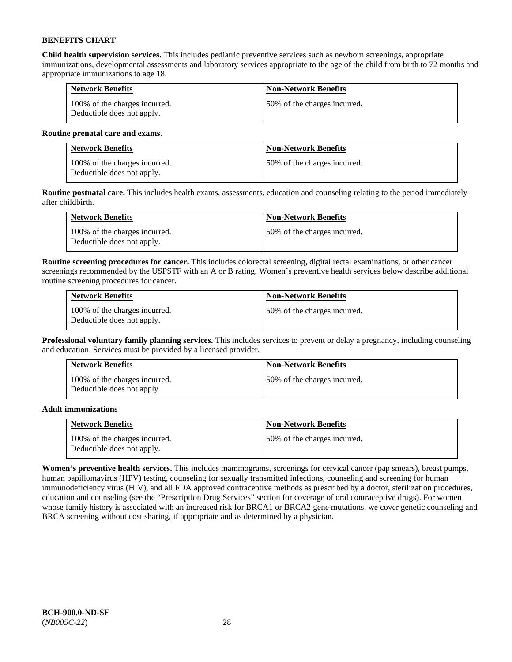**Child health supervision services.** This includes pediatric preventive services such as newborn screenings, appropriate immunizations, developmental assessments and laboratory services appropriate to the age of the child from birth to 72 months and appropriate immunizations to age 18.

| <b>Network Benefits</b>                                     | <b>Non-Network Benefits</b>  |
|-------------------------------------------------------------|------------------------------|
| 100% of the charges incurred.<br>Deductible does not apply. | 50% of the charges incurred. |

#### **Routine prenatal care and exams**.

| <b>Network Benefits</b>                                     | <b>Non-Network Benefits</b>  |
|-------------------------------------------------------------|------------------------------|
| 100% of the charges incurred.<br>Deductible does not apply. | 50% of the charges incurred. |

**Routine postnatal care.** This includes health exams, assessments, education and counseling relating to the period immediately after childbirth.

| <b>Network Benefits</b>                                     | <b>Non-Network Benefits</b>  |
|-------------------------------------------------------------|------------------------------|
| 100% of the charges incurred.<br>Deductible does not apply. | 50% of the charges incurred. |

**Routine screening procedures for cancer.** This includes colorectal screening, digital rectal examinations, or other cancer screenings recommended by the USPSTF with an A or B rating. Women's preventive health services below describe additional routine screening procedures for cancer.

| <b>Network Benefits</b>                                     | <b>Non-Network Benefits</b>  |
|-------------------------------------------------------------|------------------------------|
| 100% of the charges incurred.<br>Deductible does not apply. | 50% of the charges incurred. |

**Professional voluntary family planning services.** This includes services to prevent or delay a pregnancy, including counseling and education. Services must be provided by a licensed provider.

| <b>Network Benefits</b>                                     | <b>Non-Network Benefits</b>  |
|-------------------------------------------------------------|------------------------------|
| 100% of the charges incurred.<br>Deductible does not apply. | 50% of the charges incurred. |

### **Adult immunizations**

| <b>Network Benefits</b>                                     | <b>Non-Network Benefits</b>  |
|-------------------------------------------------------------|------------------------------|
| 100% of the charges incurred.<br>Deductible does not apply. | 50% of the charges incurred. |

**Women's preventive health services.** This includes mammograms, screenings for cervical cancer (pap smears), breast pumps, human papillomavirus (HPV) testing, counseling for sexually transmitted infections, counseling and screening for human immunodeficiency virus (HIV), and all FDA approved contraceptive methods as prescribed by a doctor, sterilization procedures, education and counseling (see the "Prescription Drug Services" section for coverage of oral contraceptive drugs). For women whose family history is associated with an increased risk for BRCA1 or BRCA2 gene mutations, we cover genetic counseling and BRCA screening without cost sharing, if appropriate and as determined by a physician.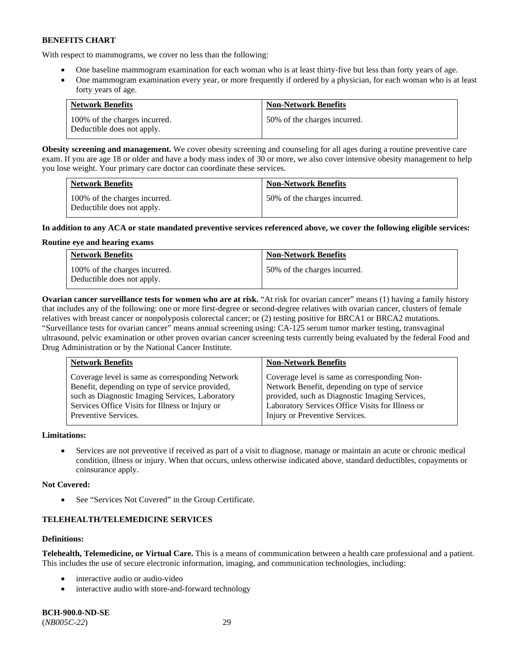With respect to mammograms, we cover no less than the following:

- One baseline mammogram examination for each woman who is at least thirty-five but less than forty years of age.
- One mammogram examination every year, or more frequently if ordered by a physician, for each woman who is at least forty years of age.

| <b>Network Benefits</b>                                     | <b>Non-Network Benefits</b>  |
|-------------------------------------------------------------|------------------------------|
| 100% of the charges incurred.<br>Deductible does not apply. | 50% of the charges incurred. |

**Obesity screening and management.** We cover obesity screening and counseling for all ages during a routine preventive care exam. If you are age 18 or older and have a body mass index of 30 or more, we also cover intensive obesity management to help you lose weight. Your primary care doctor can coordinate these services.

| <b>Network Benefits</b>                                     | <b>Non-Network Benefits</b>  |
|-------------------------------------------------------------|------------------------------|
| 100% of the charges incurred.<br>Deductible does not apply. | 50% of the charges incurred. |

### **In addition to any ACA or state mandated preventive services referenced above, we cover the following eligible services:**

### **Routine eye and hearing exams**

| <b>Network Benefits</b>                                     | <b>Non-Network Benefits</b>  |
|-------------------------------------------------------------|------------------------------|
| 100% of the charges incurred.<br>Deductible does not apply. | 50% of the charges incurred. |

**Ovarian cancer surveillance tests for women who are at risk.** "At risk for ovarian cancer" means (1) having a family history that includes any of the following: one or more first-degree or second-degree relatives with ovarian cancer, clusters of female relatives with breast cancer or nonpolyposis colorectal cancer; or (2) testing positive for BRCA1 or BRCA2 mutations. "Surveillance tests for ovarian cancer" means annual screening using: CA-125 serum tumor marker testing, transvaginal ultrasound, pelvic examination or other proven ovarian cancer screening tests currently being evaluated by the federal Food and Drug Administration or by the National Cancer Institute.

| <b>Network Benefits</b>                         | <b>Non-Network Benefits</b>                      |
|-------------------------------------------------|--------------------------------------------------|
| Coverage level is same as corresponding Network | Coverage level is same as corresponding Non-     |
| Benefit, depending on type of service provided, | Network Benefit, depending on type of service    |
| such as Diagnostic Imaging Services, Laboratory | provided, such as Diagnostic Imaging Services,   |
| Services Office Visits for Illness or Injury or | Laboratory Services Office Visits for Illness or |
| Preventive Services.                            | Injury or Preventive Services.                   |

### **Limitations:**

• Services are not preventive if received as part of a visit to diagnose, manage or maintain an acute or chronic medical condition, illness or injury. When that occurs, unless otherwise indicated above, standard deductibles, copayments or coinsurance apply.

### **Not Covered:**

See "Services Not Covered" in the Group Certificate.

# **TELEHEALTH/TELEMEDICINE SERVICES**

### **Definitions:**

**Telehealth, Telemedicine, or Virtual Care.** This is a means of communication between a health care professional and a patient. This includes the use of secure electronic information, imaging, and communication technologies, including:

- interactive audio or audio-video
- interactive audio with store-and-forward technology

**BCH-900.0-ND-SE** (*NB005C-22*) 29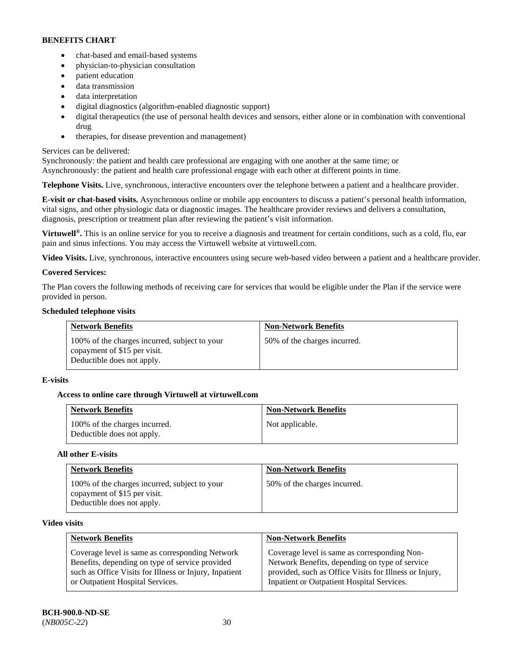- chat-based and email-based systems
- physician-to-physician consultation
- patient education
- data transmission
- data interpretation
- digital diagnostics (algorithm-enabled diagnostic support)
- digital therapeutics (the use of personal health devices and sensors, either alone or in combination with conventional drug
- therapies, for disease prevention and management)

# Services can be delivered:

Synchronously: the patient and health care professional are engaging with one another at the same time; or Asynchronously: the patient and health care professional engage with each other at different points in time.

**Telephone Visits.** Live, synchronous, interactive encounters over the telephone between a patient and a healthcare provider.

**E-visit or chat-based visits.** Asynchronous online or mobile app encounters to discuss a patient's personal health information, vital signs, and other physiologic data or diagnostic images. The healthcare provider reviews and delivers a consultation, diagnosis, prescription or treatment plan after reviewing the patient's visit information.

**Virtuwell<sup>®</sup>.** This is an online service for you to receive a diagnosis and treatment for certain conditions, such as a cold, flu, ear pain and sinus infections. You may access the Virtuwell website at [virtuwell.com.](https://www.virtuwell.com/)

**Video Visits.** Live, synchronous, interactive encounters using secure web-based video between a patient and a healthcare provider.

# **Covered Services:**

The Plan covers the following methods of receiving care for services that would be eligible under the Plan if the service were provided in person.

# **Scheduled telephone visits**

| <b>Network Benefits</b>                                                                                     | <b>Non-Network Benefits</b>  |
|-------------------------------------------------------------------------------------------------------------|------------------------------|
| 100% of the charges incurred, subject to your<br>copayment of \$15 per visit.<br>Deductible does not apply. | 50% of the charges incurred. |

# **E-visits**

# **Access to online care through Virtuwell at [virtuwell.com](https://www.virtuwell.com/)**

| <b>Network Benefits</b>                                     | <b>Non-Network Benefits</b> |
|-------------------------------------------------------------|-----------------------------|
| 100% of the charges incurred.<br>Deductible does not apply. | Not applicable.             |

### **All other E-visits**

| <b>Network Benefits</b>                                                                                     | <b>Non-Network Benefits</b>  |
|-------------------------------------------------------------------------------------------------------------|------------------------------|
| 100% of the charges incurred, subject to your<br>copayment of \$15 per visit.<br>Deductible does not apply. | 50% of the charges incurred. |

### **Video visits**

| <b>Network Benefits</b>                                | <b>Non-Network Benefits</b>                            |
|--------------------------------------------------------|--------------------------------------------------------|
| Coverage level is same as corresponding Network        | Coverage level is same as corresponding Non-           |
| Benefits, depending on type of service provided        | Network Benefits, depending on type of service         |
| such as Office Visits for Illness or Injury, Inpatient | provided, such as Office Visits for Illness or Injury, |
| or Outpatient Hospital Services.                       | Inpatient or Outpatient Hospital Services.             |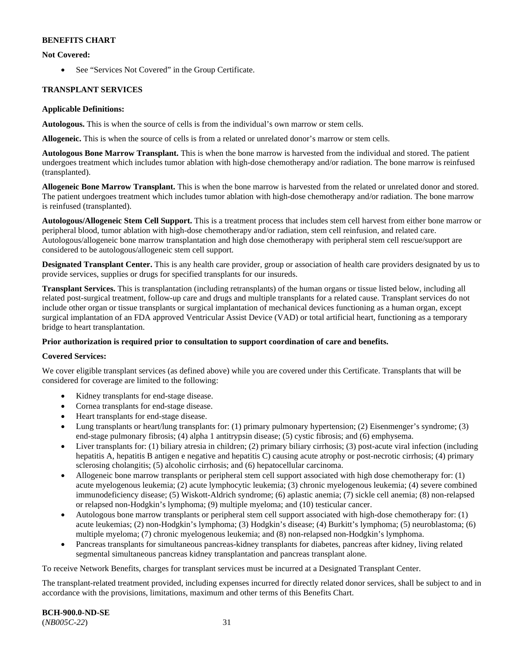### **Not Covered:**

• See "Services Not Covered" in the Group Certificate.

### **TRANSPLANT SERVICES**

#### **Applicable Definitions:**

**Autologous.** This is when the source of cells is from the individual's own marrow or stem cells.

**Allogeneic.** This is when the source of cells is from a related or unrelated donor's marrow or stem cells.

**Autologous Bone Marrow Transplant.** This is when the bone marrow is harvested from the individual and stored. The patient undergoes treatment which includes tumor ablation with high-dose chemotherapy and/or radiation. The bone marrow is reinfused (transplanted).

**Allogeneic Bone Marrow Transplant.** This is when the bone marrow is harvested from the related or unrelated donor and stored. The patient undergoes treatment which includes tumor ablation with high-dose chemotherapy and/or radiation. The bone marrow is reinfused (transplanted).

**Autologous/Allogeneic Stem Cell Support.** This is a treatment process that includes stem cell harvest from either bone marrow or peripheral blood, tumor ablation with high-dose chemotherapy and/or radiation, stem cell reinfusion, and related care. Autologous/allogeneic bone marrow transplantation and high dose chemotherapy with peripheral stem cell rescue/support are considered to be autologous/allogeneic stem cell support.

**Designated Transplant Center.** This is any health care provider, group or association of health care providers designated by us to provide services, supplies or drugs for specified transplants for our insureds.

**Transplant Services.** This is transplantation (including retransplants) of the human organs or tissue listed below, including all related post-surgical treatment, follow-up care and drugs and multiple transplants for a related cause. Transplant services do not include other organ or tissue transplants or surgical implantation of mechanical devices functioning as a human organ, except surgical implantation of an FDA approved Ventricular Assist Device (VAD) or total artificial heart, functioning as a temporary bridge to heart transplantation.

### **Prior authorization is required prior to consultation to support coordination of care and benefits.**

### **Covered Services:**

We cover eligible transplant services (as defined above) while you are covered under this Certificate. Transplants that will be considered for coverage are limited to the following:

- Kidney transplants for end-stage disease.
- Cornea transplants for end-stage disease.
- Heart transplants for end-stage disease.
- Lung transplants or heart/lung transplants for: (1) primary pulmonary hypertension; (2) Eisenmenger's syndrome; (3) end-stage pulmonary fibrosis; (4) alpha 1 antitrypsin disease; (5) cystic fibrosis; and (6) emphysema.
- Liver transplants for: (1) biliary atresia in children; (2) primary biliary cirrhosis; (3) post-acute viral infection (including hepatitis A, hepatitis B antigen e negative and hepatitis C) causing acute atrophy or post-necrotic cirrhosis; (4) primary sclerosing cholangitis; (5) alcoholic cirrhosis; and (6) hepatocellular carcinoma.
- Allogeneic bone marrow transplants or peripheral stem cell support associated with high dose chemotherapy for: (1) acute myelogenous leukemia; (2) acute lymphocytic leukemia; (3) chronic myelogenous leukemia; (4) severe combined immunodeficiency disease; (5) Wiskott-Aldrich syndrome; (6) aplastic anemia; (7) sickle cell anemia; (8) non-relapsed or relapsed non-Hodgkin's lymphoma; (9) multiple myeloma; and (10) testicular cancer.
- Autologous bone marrow transplants or peripheral stem cell support associated with high-dose chemotherapy for: (1) acute leukemias; (2) non-Hodgkin's lymphoma; (3) Hodgkin's disease; (4) Burkitt's lymphoma; (5) neuroblastoma; (6) multiple myeloma; (7) chronic myelogenous leukemia; and (8) non-relapsed non-Hodgkin's lymphoma.
- Pancreas transplants for simultaneous pancreas-kidney transplants for diabetes, pancreas after kidney, living related segmental simultaneous pancreas kidney transplantation and pancreas transplant alone.

To receive Network Benefits, charges for transplant services must be incurred at a Designated Transplant Center.

The transplant-related treatment provided, including expenses incurred for directly related donor services, shall be subject to and in accordance with the provisions, limitations, maximum and other terms of this Benefits Chart.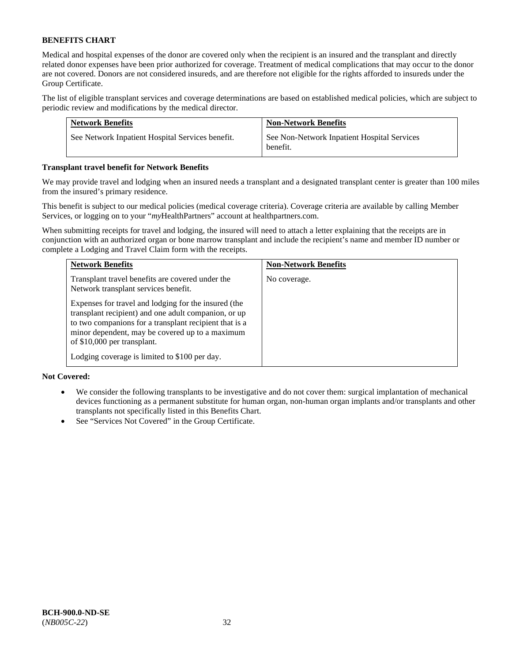Medical and hospital expenses of the donor are covered only when the recipient is an insured and the transplant and directly related donor expenses have been prior authorized for coverage. Treatment of medical complications that may occur to the donor are not covered. Donors are not considered insureds, and are therefore not eligible for the rights afforded to insureds under the Group Certificate.

The list of eligible transplant services and coverage determinations are based on established medical policies, which are subject to periodic review and modifications by the medical director.

| <b>Network Benefits</b>                          | <b>Non-Network Benefits</b>                             |
|--------------------------------------------------|---------------------------------------------------------|
| See Network Inpatient Hospital Services benefit. | See Non-Network Inpatient Hospital Services<br>benefit. |

#### **Transplant travel benefit for Network Benefits**

We may provide travel and lodging when an insured needs a transplant and a designated transplant center is greater than 100 miles from the insured's primary residence.

This benefit is subject to our medical policies (medical coverage criteria). Coverage criteria are available by calling Member Services, or logging on to your "*my*HealthPartners" account a[t healthpartners.com.](http://healthpartners.com/)

When submitting receipts for travel and lodging, the insured will need to attach a letter explaining that the receipts are in conjunction with an authorized organ or bone marrow transplant and include the recipient's name and member ID number or complete a Lodging and Travel Claim form with the receipts.

| <b>Network Benefits</b>                                                                                                                                                                                                                                  | <b>Non-Network Benefits</b> |
|----------------------------------------------------------------------------------------------------------------------------------------------------------------------------------------------------------------------------------------------------------|-----------------------------|
| Transplant travel benefits are covered under the<br>Network transplant services benefit.                                                                                                                                                                 | No coverage.                |
| Expenses for travel and lodging for the insured (the<br>transplant recipient) and one adult companion, or up<br>to two companions for a transplant recipient that is a<br>minor dependent, may be covered up to a maximum<br>of \$10,000 per transplant. |                             |
| Lodging coverage is limited to \$100 per day.                                                                                                                                                                                                            |                             |

### **Not Covered:**

- We consider the following transplants to be investigative and do not cover them: surgical implantation of mechanical devices functioning as a permanent substitute for human organ, non-human organ implants and/or transplants and other transplants not specifically listed in this Benefits Chart.
- See "Services Not Covered" in the Group Certificate.